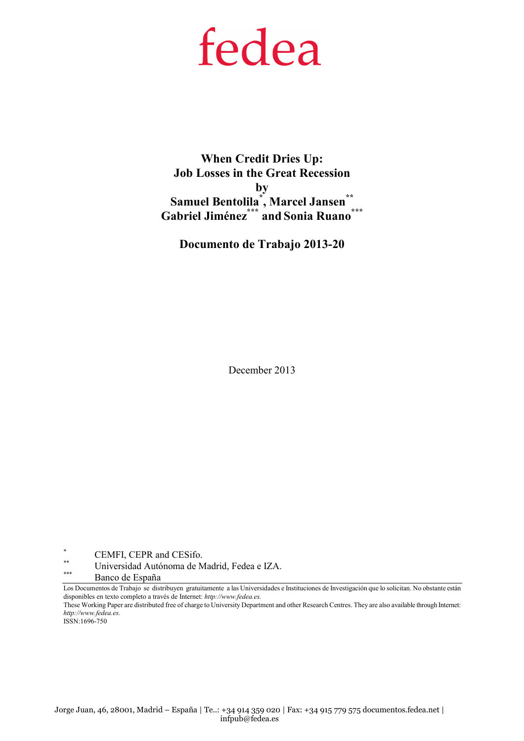# fedea

When Credit Dries Up: Job Losses in the Great Recession by Samuel Bentolila<sup>\*</sup>, Marcel Jansen<sup>\*\*</sup> Gabriel Jiménez\*\*\* and Sonia Ruano\*\*\*

Documento de Trabajo 2013-20

December 2013

\*  $\overset{*}{\phantom{*}}$  CEMFI, CEPR and CESifo.

\*\* Universidad Autónoma de Madrid, Fedea e IZA.

Banco de España

Los Documentos de Trabajo se distribuyen gratuitamente a las Universidades e Instituciones de Investigación que lo solicitan. No obstante están disponibles en texto completo a través de Internet: http://www.fedea.es.

These Working Paper are distributed free of charge to University Department and other Research Centres. They are also available through Internet: http://www.fedea.es.

ISSN:1696-750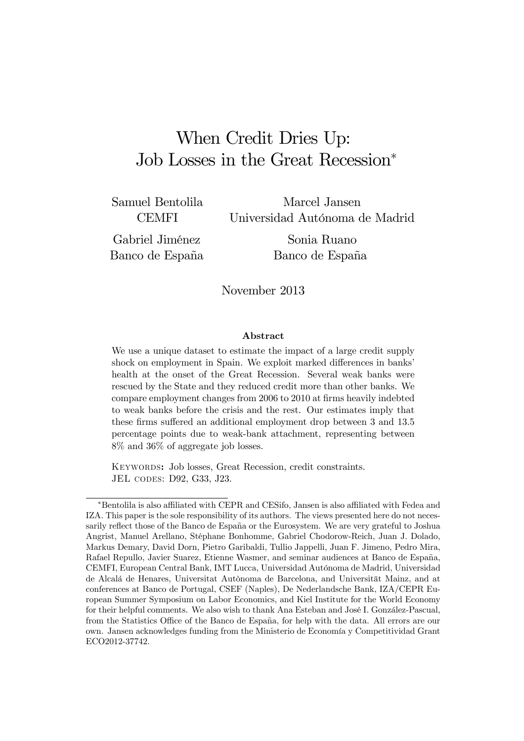## When Credit Dries Up: Job Losses in the Great Recession<sup>∗</sup>

Samuel Bentolila **CEMFI** 

Marcel Jansen Universidad Autónoma de Madrid

Gabriel Jiménez Banco de España

Sonia Ruano Banco de España

#### November 2013

#### Abstract

We use a unique dataset to estimate the impact of a large credit supply shock on employment in Spain. We exploit marked differences in banks' health at the onset of the Great Recession. Several weak banks were rescued by the State and they reduced credit more than other banks. We compare employment changes from 2006 to 2010 at firms heavily indebted to weak banks before the crisis and the rest. Our estimates imply that these firms suffered an additional employment drop between 3 and 13.5 percentage points due to weak-bank attachment, representing between 8% and 36% of aggregate job losses.

Keywords: Job losses, Great Recession, credit constraints. JEL codes: D92, G33, J23.

<sup>∗</sup>Bentolila is also affiliated with CEPR and CESifo, Jansen is also affiliated with Fedea and IZA. This paper is the sole responsibility of its authors. The views presented here do not necessarily reflect those of the Banco de España or the Eurosystem. We are very grateful to Joshua Angrist, Manuel Arellano, Stéphane Bonhomme, Gabriel Chodorow-Reich, Juan J. Dolado, Markus Demary, David Dorn, Pietro Garibaldi, Tullio Jappelli, Juan F. Jimeno, Pedro Mira, Rafael Repullo, Javier Suarez, Etienne Wasmer, and seminar audiences at Banco de España, CEMFI, European Central Bank, IMT Lucca, Universidad Autónoma de Madrid, Universidad de Alcalá de Henares, Universitat Autònoma de Barcelona, and Universität Mainz, and at conferences at Banco de Portugal, CSEF (Naples), De Nederlandsche Bank, IZA/CEPR European Summer Symposium on Labor Economics, and Kiel Institute for the World Economy for their helpful comments. We also wish to thank Ana Esteban and José I. González-Pascual, from the Statistics Office of the Banco de España, for help with the data. All errors are our own. Jansen acknowledges funding from the Ministerio de Economía y Competitividad Grant ECO2012-37742.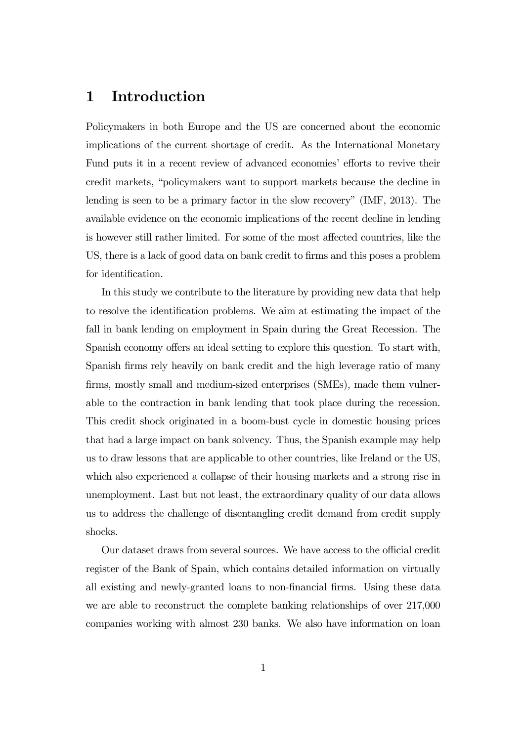## 1 Introduction

Policymakers in both Europe and the US are concerned about the economic implications of the current shortage of credit. As the International Monetary Fund puts it in a recent review of advanced economies' efforts to revive their credit markets, "policymakers want to support markets because the decline in lending is seen to be a primary factor in the slow recovery" (IMF, 2013). The available evidence on the economic implications of the recent decline in lending is however still rather limited. For some of the most affected countries, like the US, there is a lack of good data on bank credit to firms and this poses a problem for identification.

In this study we contribute to the literature by providing new data that help to resolve the identification problems. We aim at estimating the impact of the fall in bank lending on employment in Spain during the Great Recession. The Spanish economy offers an ideal setting to explore this question. To start with, Spanish firms rely heavily on bank credit and the high leverage ratio of many firms, mostly small and medium-sized enterprises (SMEs), made them vulnerable to the contraction in bank lending that took place during the recession. This credit shock originated in a boom-bust cycle in domestic housing prices that had a large impact on bank solvency. Thus, the Spanish example may help us to draw lessons that are applicable to other countries, like Ireland or the US, which also experienced a collapse of their housing markets and a strong rise in unemployment. Last but not least, the extraordinary quality of our data allows us to address the challenge of disentangling credit demand from credit supply shocks.

Our dataset draws from several sources. We have access to the official credit register of the Bank of Spain, which contains detailed information on virtually all existing and newly-granted loans to non-financial firms. Using these data we are able to reconstruct the complete banking relationships of over 217,000 companies working with almost 230 banks. We also have information on loan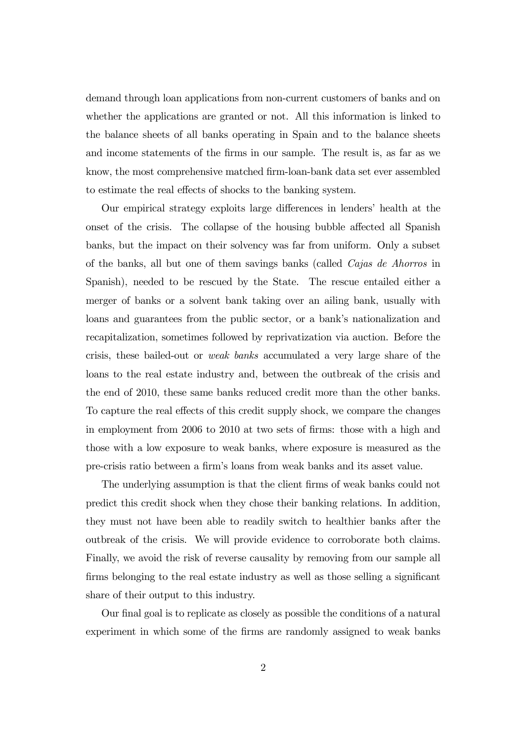demand through loan applications from non-current customers of banks and on whether the applications are granted or not. All this information is linked to the balance sheets of all banks operating in Spain and to the balance sheets and income statements of the firms in our sample. The result is, as far as we know, the most comprehensive matched firm-loan-bank data set ever assembled to estimate the real effects of shocks to the banking system.

Our empirical strategy exploits large differences in lenders' health at the onset of the crisis. The collapse of the housing bubble affected all Spanish banks, but the impact on their solvency was far from uniform. Only a subset of the banks, all but one of them savings banks (called Cajas de Ahorros in Spanish), needed to be rescued by the State. The rescue entailed either a merger of banks or a solvent bank taking over an ailing bank, usually with loans and guarantees from the public sector, or a bank's nationalization and recapitalization, sometimes followed by reprivatization via auction. Before the crisis, these bailed-out or weak banks accumulated a very large share of the loans to the real estate industry and, between the outbreak of the crisis and the end of 2010, these same banks reduced credit more than the other banks. To capture the real effects of this credit supply shock, we compare the changes in employment from 2006 to 2010 at two sets of firms: those with a high and those with a low exposure to weak banks, where exposure is measured as the pre-crisis ratio between a firm's loans from weak banks and its asset value.

The underlying assumption is that the client firms of weak banks could not predict this credit shock when they chose their banking relations. In addition, they must not have been able to readily switch to healthier banks after the outbreak of the crisis. We will provide evidence to corroborate both claims. Finally, we avoid the risk of reverse causality by removing from our sample all firms belonging to the real estate industry as well as those selling a significant share of their output to this industry.

Our final goal is to replicate as closely as possible the conditions of a natural experiment in which some of the firms are randomly assigned to weak banks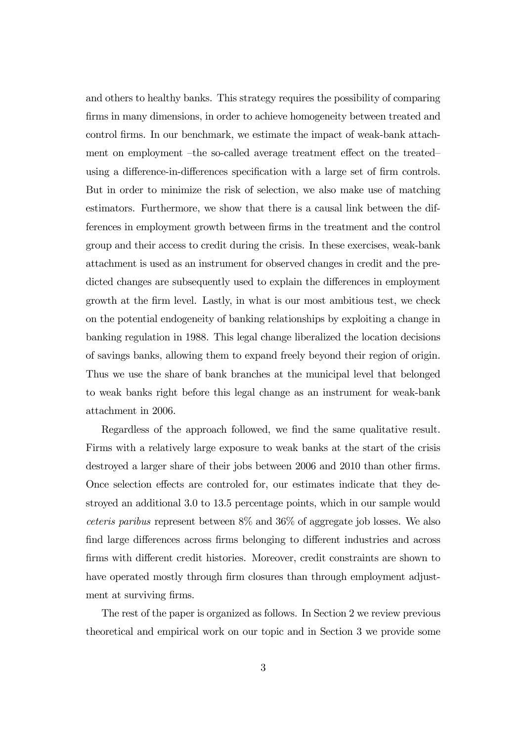and others to healthy banks. This strategy requires the possibility of comparing firms in many dimensions, in order to achieve homogeneity between treated and control firms. In our benchmark, we estimate the impact of weak-bank attachment on employment —the so-called average treatment effect on the treated using a difference-in-differences specification with a large set of firm controls. But in order to minimize the risk of selection, we also make use of matching estimators. Furthermore, we show that there is a causal link between the differences in employment growth between firms in the treatment and the control group and their access to credit during the crisis. In these exercises, weak-bank attachment is used as an instrument for observed changes in credit and the predicted changes are subsequently used to explain the differences in employment growth at the firm level. Lastly, in what is our most ambitious test, we check on the potential endogeneity of banking relationships by exploiting a change in banking regulation in 1988. This legal change liberalized the location decisions of savings banks, allowing them to expand freely beyond their region of origin. Thus we use the share of bank branches at the municipal level that belonged to weak banks right before this legal change as an instrument for weak-bank attachment in 2006.

Regardless of the approach followed, we find the same qualitative result. Firms with a relatively large exposure to weak banks at the start of the crisis destroyed a larger share of their jobs between 2006 and 2010 than other firms. Once selection effects are controled for, our estimates indicate that they destroyed an additional 3.0 to 13.5 percentage points, which in our sample would ceteris paribus represent between 8% and 36% of aggregate job losses. We also find large differences across firms belonging to different industries and across firms with different credit histories. Moreover, credit constraints are shown to have operated mostly through firm closures than through employment adjustment at surviving firms.

The rest of the paper is organized as follows. In Section 2 we review previous theoretical and empirical work on our topic and in Section 3 we provide some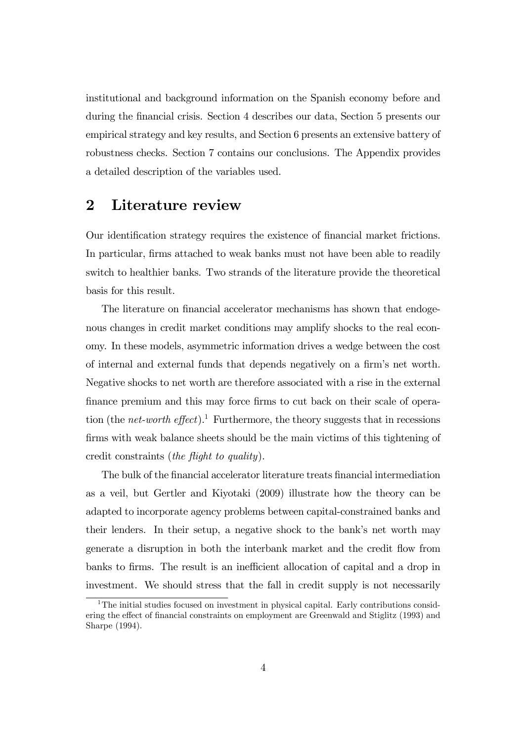institutional and background information on the Spanish economy before and during the financial crisis. Section 4 describes our data, Section 5 presents our empirical strategy and key results, and Section 6 presents an extensive battery of robustness checks. Section 7 contains our conclusions. The Appendix provides a detailed description of the variables used.

## 2 Literature review

Our identification strategy requires the existence of financial market frictions. In particular, firms attached to weak banks must not have been able to readily switch to healthier banks. Two strands of the literature provide the theoretical basis for this result.

The literature on financial accelerator mechanisms has shown that endogenous changes in credit market conditions may amplify shocks to the real economy. In these models, asymmetric information drives a wedge between the cost of internal and external funds that depends negatively on a firm's net worth. Negative shocks to net worth are therefore associated with a rise in the external finance premium and this may force firms to cut back on their scale of operation (the *net-worth effect*).<sup>1</sup> Furthermore, the theory suggests that in recessions firms with weak balance sheets should be the main victims of this tightening of credit constraints (the flight to quality).

The bulk of the financial accelerator literature treats financial intermediation as a veil, but Gertler and Kiyotaki (2009) illustrate how the theory can be adapted to incorporate agency problems between capital-constrained banks and their lenders. In their setup, a negative shock to the bank's net worth may generate a disruption in both the interbank market and the credit flow from banks to firms. The result is an inefficient allocation of capital and a drop in investment. We should stress that the fall in credit supply is not necessarily

<sup>&</sup>lt;sup>1</sup>The initial studies focused on investment in physical capital. Early contributions considering the effect of financial constraints on employment are Greenwald and Stiglitz (1993) and Sharpe (1994).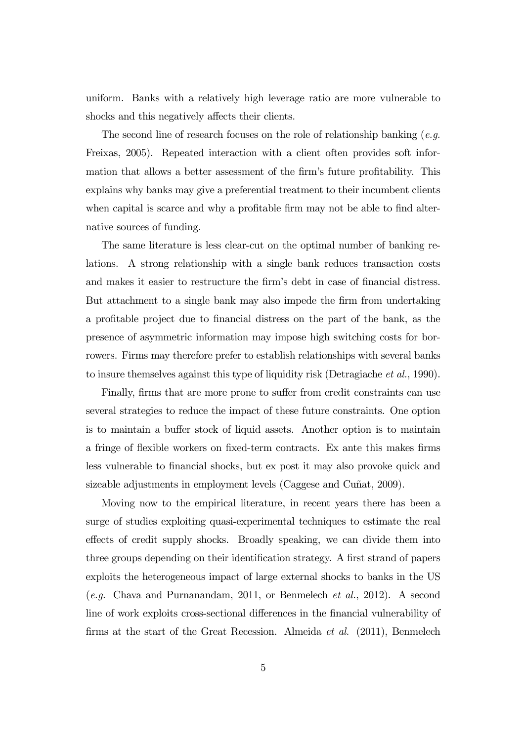uniform. Banks with a relatively high leverage ratio are more vulnerable to shocks and this negatively affects their clients.

The second line of research focuses on the role of relationship banking  $(e.g.$ Freixas, 2005). Repeated interaction with a client often provides soft information that allows a better assessment of the firm's future profitability. This explains why banks may give a preferential treatment to their incumbent clients when capital is scarce and why a profitable firm may not be able to find alternative sources of funding.

The same literature is less clear-cut on the optimal number of banking relations. A strong relationship with a single bank reduces transaction costs and makes it easier to restructure the firm's debt in case of financial distress. But attachment to a single bank may also impede the firm from undertaking a profitable project due to financial distress on the part of the bank, as the presence of asymmetric information may impose high switching costs for borrowers. Firms may therefore prefer to establish relationships with several banks to insure themselves against this type of liquidity risk (Detragiache et al., 1990).

Finally, firms that are more prone to suffer from credit constraints can use several strategies to reduce the impact of these future constraints. One option is to maintain a buffer stock of liquid assets. Another option is to maintain a fringe of flexible workers on fixed-term contracts. Ex ante this makes firms less vulnerable to financial shocks, but ex post it may also provoke quick and sizeable adjustments in employment levels (Caggese and Cuñat, 2009).

Moving now to the empirical literature, in recent years there has been a surge of studies exploiting quasi-experimental techniques to estimate the real effects of credit supply shocks. Broadly speaking, we can divide them into three groups depending on their identification strategy. A first strand of papers exploits the heterogeneous impact of large external shocks to banks in the US (e.g. Chava and Purnanandam, 2011, or Benmelech et al., 2012). A second line of work exploits cross-sectional differences in the financial vulnerability of firms at the start of the Great Recession. Almeida et al. (2011), Benmelech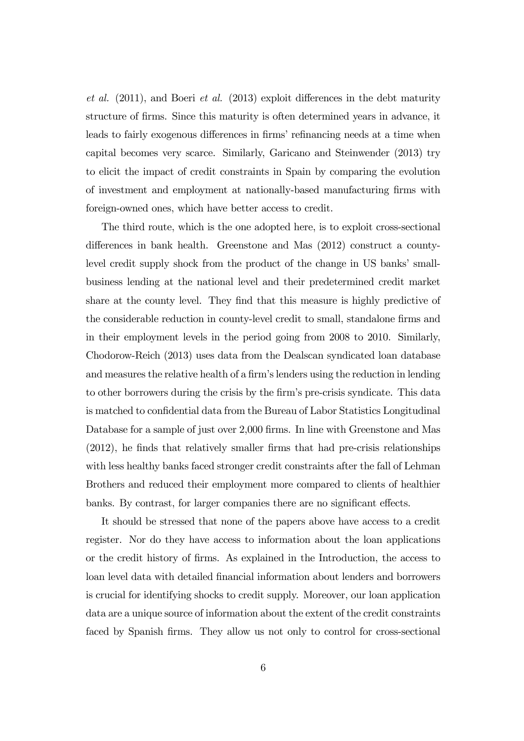et al. (2011), and Boeri et al. (2013) exploit differences in the debt maturity structure of firms. Since this maturity is often determined years in advance, it leads to fairly exogenous differences in firms' refinancing needs at a time when capital becomes very scarce. Similarly, Garicano and Steinwender (2013) try to elicit the impact of credit constraints in Spain by comparing the evolution of investment and employment at nationally-based manufacturing firms with foreign-owned ones, which have better access to credit.

The third route, which is the one adopted here, is to exploit cross-sectional differences in bank health. Greenstone and Mas (2012) construct a countylevel credit supply shock from the product of the change in US banks' smallbusiness lending at the national level and their predetermined credit market share at the county level. They find that this measure is highly predictive of the considerable reduction in county-level credit to small, standalone firms and in their employment levels in the period going from 2008 to 2010. Similarly, Chodorow-Reich (2013) uses data from the Dealscan syndicated loan database and measures the relative health of a firm's lenders using the reduction in lending to other borrowers during the crisis by the firm's pre-crisis syndicate. This data is matched to confidential data from the Bureau of Labor Statistics Longitudinal Database for a sample of just over 2,000 firms. In line with Greenstone and Mas (2012), he finds that relatively smaller firms that had pre-crisis relationships with less healthy banks faced stronger credit constraints after the fall of Lehman Brothers and reduced their employment more compared to clients of healthier banks. By contrast, for larger companies there are no significant effects.

It should be stressed that none of the papers above have access to a credit register. Nor do they have access to information about the loan applications or the credit history of firms. As explained in the Introduction, the access to loan level data with detailed financial information about lenders and borrowers is crucial for identifying shocks to credit supply. Moreover, our loan application data are a unique source of information about the extent of the credit constraints faced by Spanish firms. They allow us not only to control for cross-sectional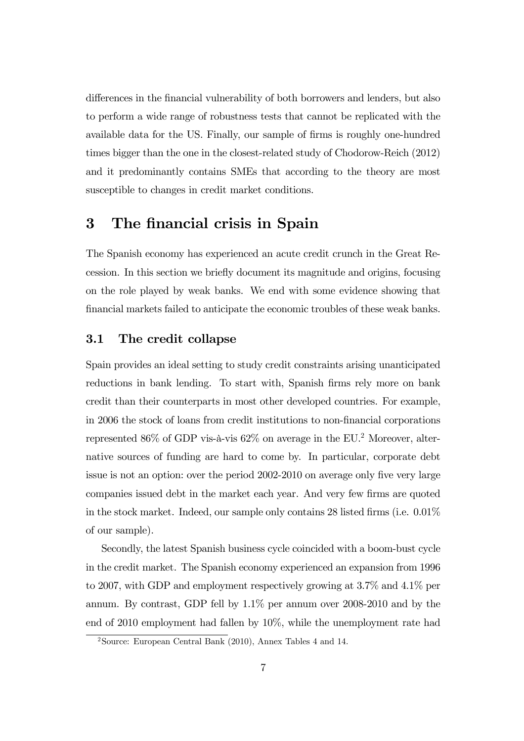differences in the financial vulnerability of both borrowers and lenders, but also to perform a wide range of robustness tests that cannot be replicated with the available data for the US. Finally, our sample of firms is roughly one-hundred times bigger than the one in the closest-related study of Chodorow-Reich (2012) and it predominantly contains SMEs that according to the theory are most susceptible to changes in credit market conditions.

## 3 The financial crisis in Spain

The Spanish economy has experienced an acute credit crunch in the Great Recession. In this section we briefly document its magnitude and origins, focusing on the role played by weak banks. We end with some evidence showing that financial markets failed to anticipate the economic troubles of these weak banks.

#### 3.1 The credit collapse

Spain provides an ideal setting to study credit constraints arising unanticipated reductions in bank lending. To start with, Spanish firms rely more on bank credit than their counterparts in most other developed countries. For example, in 2006 the stock of loans from credit institutions to non-financial corporations represented  $86\%$  of GDP vis-à-vis  $62\%$  on average in the EU.<sup>2</sup> Moreover, alternative sources of funding are hard to come by. In particular, corporate debt issue is not an option: over the period 2002-2010 on average only five very large companies issued debt in the market each year. And very few firms are quoted in the stock market. Indeed, our sample only contains 28 listed firms (i.e. 0.01% of our sample).

Secondly, the latest Spanish business cycle coincided with a boom-bust cycle in the credit market. The Spanish economy experienced an expansion from 1996 to 2007, with GDP and employment respectively growing at 3.7% and 4.1% per annum. By contrast, GDP fell by 1.1% per annum over 2008-2010 and by the end of 2010 employment had fallen by 10%, while the unemployment rate had

<sup>&</sup>lt;sup>2</sup>Source: European Central Bank (2010), Annex Tables 4 and 14.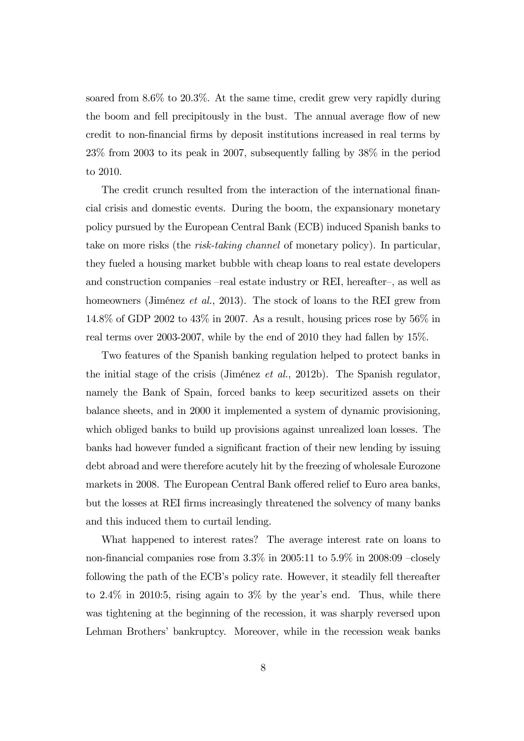soared from 8.6% to 20.3%. At the same time, credit grew very rapidly during the boom and fell precipitously in the bust. The annual average flow of new credit to non-financial firms by deposit institutions increased in real terms by 23% from 2003 to its peak in 2007, subsequently falling by 38% in the period to 2010.

The credit crunch resulted from the interaction of the international financial crisis and domestic events. During the boom, the expansionary monetary policy pursued by the European Central Bank (ECB) induced Spanish banks to take on more risks (the risk-taking channel of monetary policy). In particular, they fueled a housing market bubble with cheap loans to real estate developers and construction companies —real estate industry or REI, hereafter—, as well as homeowners (Jiménez *et al.*, 2013). The stock of loans to the REI grew from 14.8% of GDP 2002 to 43% in 2007. As a result, housing prices rose by 56% in real terms over 2003-2007, while by the end of 2010 they had fallen by 15%.

Two features of the Spanish banking regulation helped to protect banks in the initial stage of the crisis (Jiménez et al., 2012b). The Spanish regulator, namely the Bank of Spain, forced banks to keep securitized assets on their balance sheets, and in 2000 it implemented a system of dynamic provisioning, which obliged banks to build up provisions against unrealized loan losses. The banks had however funded a significant fraction of their new lending by issuing debt abroad and were therefore acutely hit by the freezing of wholesale Eurozone markets in 2008. The European Central Bank offered relief to Euro area banks, but the losses at REI firms increasingly threatened the solvency of many banks and this induced them to curtail lending.

What happened to interest rates? The average interest rate on loans to non-financial companies rose from 3.3% in 2005:11 to 5.9% in 2008:09 —closely following the path of the ECB's policy rate. However, it steadily fell thereafter to 2.4% in 2010:5, rising again to 3% by the year's end. Thus, while there was tightening at the beginning of the recession, it was sharply reversed upon Lehman Brothers' bankruptcy. Moreover, while in the recession weak banks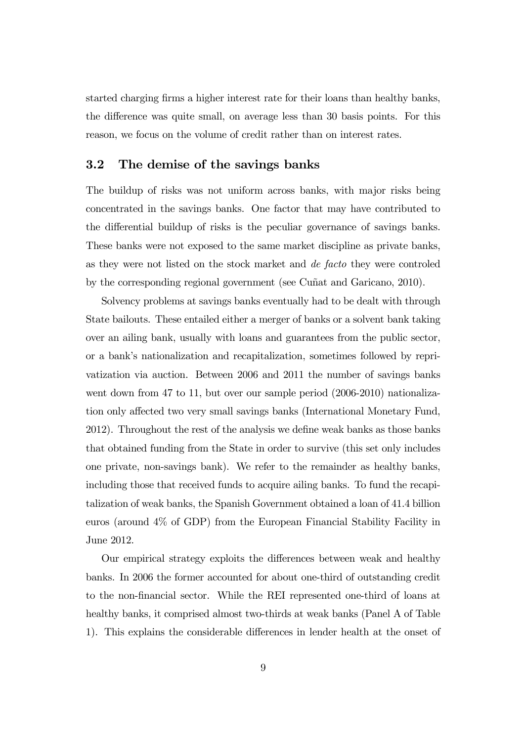started charging firms a higher interest rate for their loans than healthy banks, the difference was quite small, on average less than 30 basis points. For this reason, we focus on the volume of credit rather than on interest rates.

#### 3.2 The demise of the savings banks

The buildup of risks was not uniform across banks, with major risks being concentrated in the savings banks. One factor that may have contributed to the differential buildup of risks is the peculiar governance of savings banks. These banks were not exposed to the same market discipline as private banks, as they were not listed on the stock market and de facto they were controled by the corresponding regional government (see Cuñat and Garicano, 2010).

Solvency problems at savings banks eventually had to be dealt with through State bailouts. These entailed either a merger of banks or a solvent bank taking over an ailing bank, usually with loans and guarantees from the public sector, or a bank's nationalization and recapitalization, sometimes followed by reprivatization via auction. Between 2006 and 2011 the number of savings banks went down from 47 to 11, but over our sample period  $(2006-2010)$  nationalization only affected two very small savings banks (International Monetary Fund, 2012). Throughout the rest of the analysis we define weak banks as those banks that obtained funding from the State in order to survive (this set only includes one private, non-savings bank). We refer to the remainder as healthy banks, including those that received funds to acquire ailing banks. To fund the recapitalization of weak banks, the Spanish Government obtained a loan of 41.4 billion euros (around 4% of GDP) from the European Financial Stability Facility in June 2012.

Our empirical strategy exploits the differences between weak and healthy banks. In 2006 the former accounted for about one-third of outstanding credit to the non-financial sector. While the REI represented one-third of loans at healthy banks, it comprised almost two-thirds at weak banks (Panel A of Table 1). This explains the considerable differences in lender health at the onset of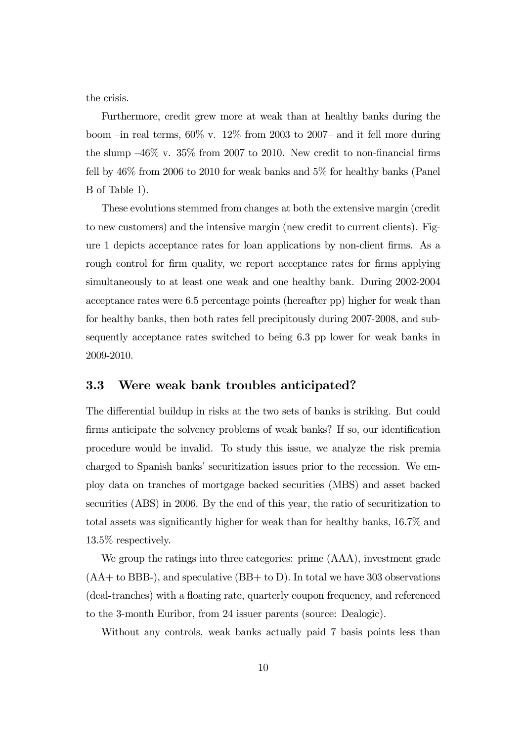the crisis.

Furthermore, credit grew more at weak than at healthy banks during the boom –in real terms,  $60\%$  v.  $12\%$  from 2003 to 2007– and it fell more during the slump  $-46\%$  v. 35% from 2007 to 2010. New credit to non-financial firms fell by 46% from 2006 to 2010 for weak banks and 5% for healthy banks (Panel B of Table 1).

These evolutions stemmed from changes at both the extensive margin (credit to new customers) and the intensive margin (new credit to current clients). Figure 1 depicts acceptance rates for loan applications by non-client firms. As a rough control for firm quality, we report acceptance rates for firms applying simultaneously to at least one weak and one healthy bank. During 2002-2004 acceptance rates were 6.5 percentage points (hereafter pp) higher for weak than for healthy banks, then both rates fell precipitously during 2007-2008, and subsequently acceptance rates switched to being 6.3 pp lower for weak banks in 2009-2010.

#### 3.3 Were weak bank troubles anticipated?

The differential buildup in risks at the two sets of banks is striking. But could firms anticipate the solvency problems of weak banks? If so, our identification procedure would be invalid. To study this issue, we analyze the risk premia charged to Spanish banks' securitization issues prior to the recession. We employ data on tranches of mortgage backed securities (MBS) and asset backed securities (ABS) in 2006. By the end of this year, the ratio of securitization to total assets was significantly higher for weak than for healthy banks, 16.7% and 13.5% respectively.

We group the ratings into three categories: prime (AAA), investment grade  $(AA + to BBB)$ , and speculative  $(BB + to D)$ . In total we have 303 observations (deal-tranches) with a floating rate, quarterly coupon frequency, and referenced to the 3-month Euribor, from 24 issuer parents (source: Dealogic).

Without any controls, weak banks actually paid 7 basis points less than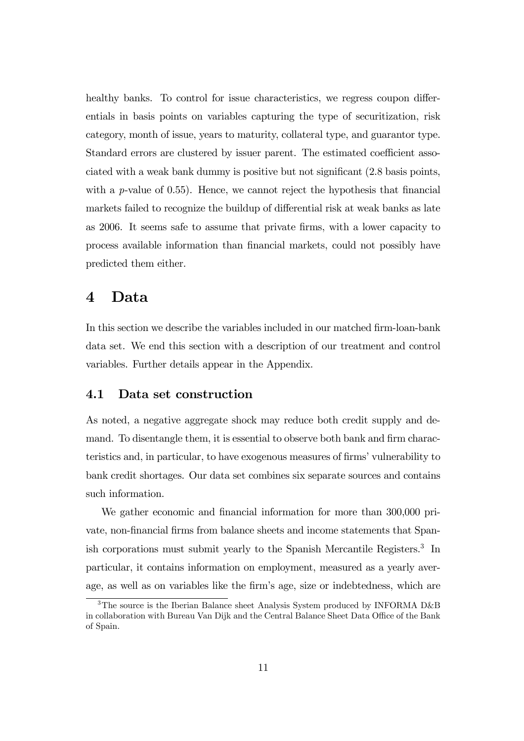healthy banks. To control for issue characteristics, we regress coupon differentials in basis points on variables capturing the type of securitization, risk category, month of issue, years to maturity, collateral type, and guarantor type. Standard errors are clustered by issuer parent. The estimated coefficient associated with a weak bank dummy is positive but not significant (2.8 basis points, with a *p*-value of  $(0.55)$ . Hence, we cannot reject the hypothesis that financial markets failed to recognize the buildup of differential risk at weak banks as late as 2006. It seems safe to assume that private firms, with a lower capacity to process available information than financial markets, could not possibly have predicted them either.

### 4 Data

In this section we describe the variables included in our matched firm-loan-bank data set. We end this section with a description of our treatment and control variables. Further details appear in the Appendix.

#### 4.1 Data set construction

As noted, a negative aggregate shock may reduce both credit supply and demand. To disentangle them, it is essential to observe both bank and firm characteristics and, in particular, to have exogenous measures of firms' vulnerability to bank credit shortages. Our data set combines six separate sources and contains such information.

We gather economic and financial information for more than 300,000 private, non-financial firms from balance sheets and income statements that Spanish corporations must submit yearly to the Spanish Mercantile Registers.3 In particular, it contains information on employment, measured as a yearly average, as well as on variables like the firm's age, size or indebtedness, which are

<sup>&</sup>lt;sup>3</sup>The source is the Iberian Balance sheet Analysis System produced by INFORMA D&B in collaboration with Bureau Van Dijk and the Central Balance Sheet Data Office of the Bank of Spain.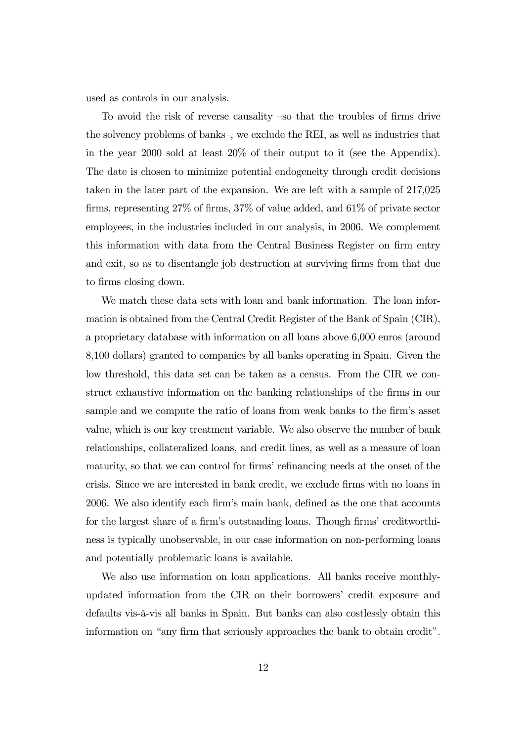used as controls in our analysis.

To avoid the risk of reverse causality —so that the troubles of firms drive the solvency problems of banks—, we exclude the REI, as well as industries that in the year 2000 sold at least 20% of their output to it (see the Appendix). The date is chosen to minimize potential endogeneity through credit decisions taken in the later part of the expansion. We are left with a sample of 217,025 firms, representing 27% of firms, 37% of value added, and 61% of private sector employees, in the industries included in our analysis, in 2006. We complement this information with data from the Central Business Register on firm entry and exit, so as to disentangle job destruction at surviving firms from that due to firms closing down.

We match these data sets with loan and bank information. The loan information is obtained from the Central Credit Register of the Bank of Spain (CIR), a proprietary database with information on all loans above 6,000 euros (around 8,100 dollars) granted to companies by all banks operating in Spain. Given the low threshold, this data set can be taken as a census. From the CIR we construct exhaustive information on the banking relationships of the firms in our sample and we compute the ratio of loans from weak banks to the firm's asset value, which is our key treatment variable. We also observe the number of bank relationships, collateralized loans, and credit lines, as well as a measure of loan maturity, so that we can control for firms' refinancing needs at the onset of the crisis. Since we are interested in bank credit, we exclude firms with no loans in 2006. We also identify each firm's main bank, defined as the one that accounts for the largest share of a firm's outstanding loans. Though firms' creditworthiness is typically unobservable, in our case information on non-performing loans and potentially problematic loans is available.

We also use information on loan applications. All banks receive monthlyupdated information from the CIR on their borrowers' credit exposure and defaults vis-à-vis all banks in Spain. But banks can also costlessly obtain this information on "any firm that seriously approaches the bank to obtain credit".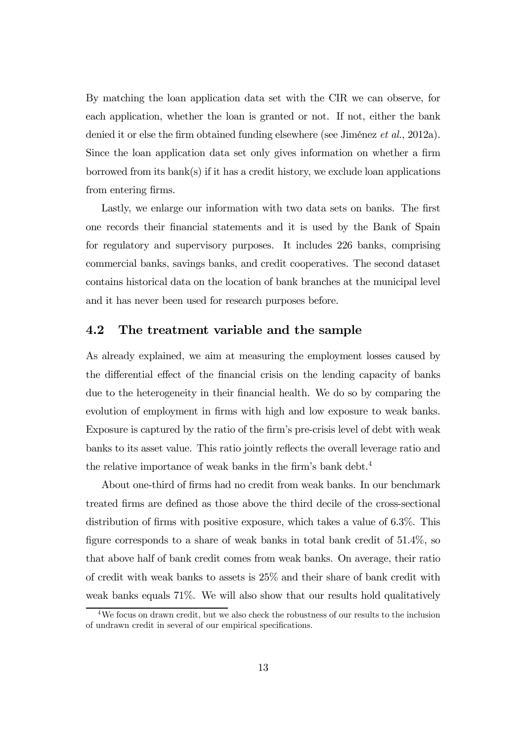By matching the loan application data set with the CIR we can observe, for each application, whether the loan is granted or not. If not, either the bank denied it or else the firm obtained funding elsewhere (see Jiménez et al., 2012a). Since the loan application data set only gives information on whether a firm borrowed from its bank(s) if it has a credit history, we exclude loan applications from entering firms.

Lastly, we enlarge our information with two data sets on banks. The first one records their financial statements and it is used by the Bank of Spain for regulatory and supervisory purposes. It includes 226 banks, comprising commercial banks, savings banks, and credit cooperatives. The second dataset contains historical data on the location of bank branches at the municipal level and it has never been used for research purposes before.

#### 4.2 The treatment variable and the sample

As already explained, we aim at measuring the employment losses caused by the differential effect of the financial crisis on the lending capacity of banks due to the heterogeneity in their financial health. We do so by comparing the evolution of employment in firms with high and low exposure to weak banks. Exposure is captured by the ratio of the firm's pre-crisis level of debt with weak banks to its asset value. This ratio jointly reflects the overall leverage ratio and the relative importance of weak banks in the firm's bank debt.<sup>4</sup>

About one-third of firms had no credit from weak banks. In our benchmark treated firms are defined as those above the third decile of the cross-sectional distribution of firms with positive exposure, which takes a value of 6.3%. This figure corresponds to a share of weak banks in total bank credit of 51.4%, so that above half of bank credit comes from weak banks. On average, their ratio of credit with weak banks to assets is 25% and their share of bank credit with weak banks equals 71%. We will also show that our results hold qualitatively

<sup>4</sup>We focus on drawn credit, but we also check the robustness of our results to the inclusion of undrawn credit in several of our empirical specifications.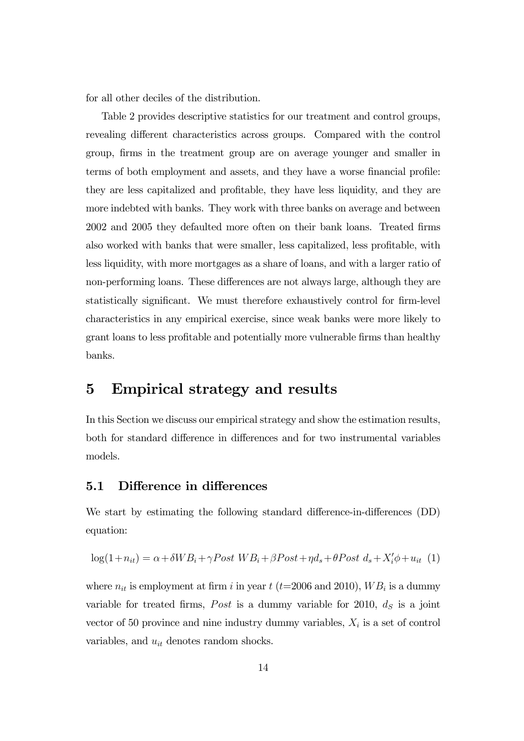for all other deciles of the distribution.

Table 2 provides descriptive statistics for our treatment and control groups, revealing different characteristics across groups. Compared with the control group, firms in the treatment group are on average younger and smaller in terms of both employment and assets, and they have a worse financial profile: they are less capitalized and profitable, they have less liquidity, and they are more indebted with banks. They work with three banks on average and between 2002 and 2005 they defaulted more often on their bank loans. Treated firms also worked with banks that were smaller, less capitalized, less profitable, with less liquidity, with more mortgages as a share of loans, and with a larger ratio of non-performing loans. These differences are not always large, although they are statistically significant. We must therefore exhaustively control for firm-level characteristics in any empirical exercise, since weak banks were more likely to grant loans to less profitable and potentially more vulnerable firms than healthy banks.

## 5 Empirical strategy and results

In this Section we discuss our empirical strategy and show the estimation results, both for standard difference in differences and for two instrumental variables models.

#### 5.1 Difference in differences

We start by estimating the following standard difference-in-differences (DD) equation:

$$
\log(1+n_{it}) = \alpha + \delta WB_i + \gamma Post WB_i + \beta Post + \eta d_s + \theta Post d_s + X'_i \phi + u_{it} \tag{1}
$$

where  $n_{it}$  is employment at firm i in year t (t=2006 and 2010),  $WB_i$  is a dummy variable for treated firms, Post is a dummy variable for 2010,  $d<sub>S</sub>$  is a joint vector of 50 province and nine industry dummy variables,  $X_i$  is a set of control variables, and  $u_{it}$  denotes random shocks.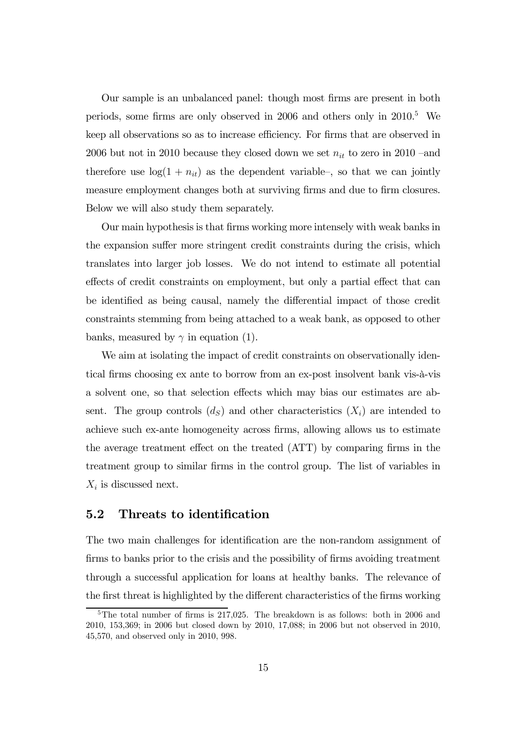Our sample is an unbalanced panel: though most firms are present in both periods, some firms are only observed in 2006 and others only in 2010.5 We keep all observations so as to increase efficiency. For firms that are observed in 2006 but not in 2010 because they closed down we set  $n_{it}$  to zero in 2010 –and therefore use  $log(1 + n_{it})$  as the dependent variable-, so that we can jointly measure employment changes both at surviving firms and due to firm closures. Below we will also study them separately.

Our main hypothesis is that firms working more intensely with weak banks in the expansion suffer more stringent credit constraints during the crisis, which translates into larger job losses. We do not intend to estimate all potential effects of credit constraints on employment, but only a partial effect that can be identified as being causal, namely the differential impact of those credit constraints stemming from being attached to a weak bank, as opposed to other banks, measured by  $\gamma$  in equation (1).

We aim at isolating the impact of credit constraints on observationally identical firms choosing ex ante to borrow from an ex-post insolvent bank vis-à-vis a solvent one, so that selection effects which may bias our estimates are absent. The group controls  $(d_S)$  and other characteristics  $(X_i)$  are intended to achieve such ex-ante homogeneity across firms, allowing allows us to estimate the average treatment effect on the treated (ATT) by comparing firms in the treatment group to similar firms in the control group. The list of variables in  $X_i$  is discussed next.

#### 5.2 Threats to identification

The two main challenges for identification are the non-random assignment of firms to banks prior to the crisis and the possibility of firms avoiding treatment through a successful application for loans at healthy banks. The relevance of the first threat is highlighted by the different characteristics of the firms working

<sup>&</sup>lt;sup>5</sup>The total number of firms is 217,025. The breakdown is as follows: both in 2006 and 2010, 153,369; in 2006 but closed down by 2010, 17,088; in 2006 but not observed in 2010, 45,570, and observed only in 2010, 998.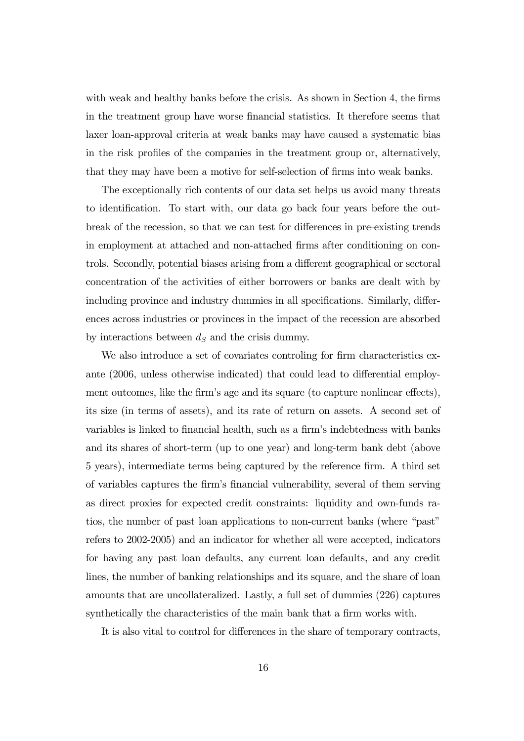with weak and healthy banks before the crisis. As shown in Section 4, the firms in the treatment group have worse financial statistics. It therefore seems that laxer loan-approval criteria at weak banks may have caused a systematic bias in the risk profiles of the companies in the treatment group or, alternatively, that they may have been a motive for self-selection of firms into weak banks.

The exceptionally rich contents of our data set helps us avoid many threats to identification. To start with, our data go back four years before the outbreak of the recession, so that we can test for differences in pre-existing trends in employment at attached and non-attached firms after conditioning on controls. Secondly, potential biases arising from a different geographical or sectoral concentration of the activities of either borrowers or banks are dealt with by including province and industry dummies in all specifications. Similarly, differences across industries or provinces in the impact of the recession are absorbed by interactions between  $d<sub>S</sub>$  and the crisis dummy.

We also introduce a set of covariates controling for firm characteristics exante (2006, unless otherwise indicated) that could lead to differential employment outcomes, like the firm's age and its square (to capture nonlinear effects), its size (in terms of assets), and its rate of return on assets. A second set of variables is linked to financial health, such as a firm's indebtedness with banks and its shares of short-term (up to one year) and long-term bank debt (above 5 years), intermediate terms being captured by the reference firm. A third set of variables captures the firm's financial vulnerability, several of them serving as direct proxies for expected credit constraints: liquidity and own-funds ratios, the number of past loan applications to non-current banks (where "past" refers to 2002-2005) and an indicator for whether all were accepted, indicators for having any past loan defaults, any current loan defaults, and any credit lines, the number of banking relationships and its square, and the share of loan amounts that are uncollateralized. Lastly, a full set of dummies (226) captures synthetically the characteristics of the main bank that a firm works with.

It is also vital to control for differences in the share of temporary contracts,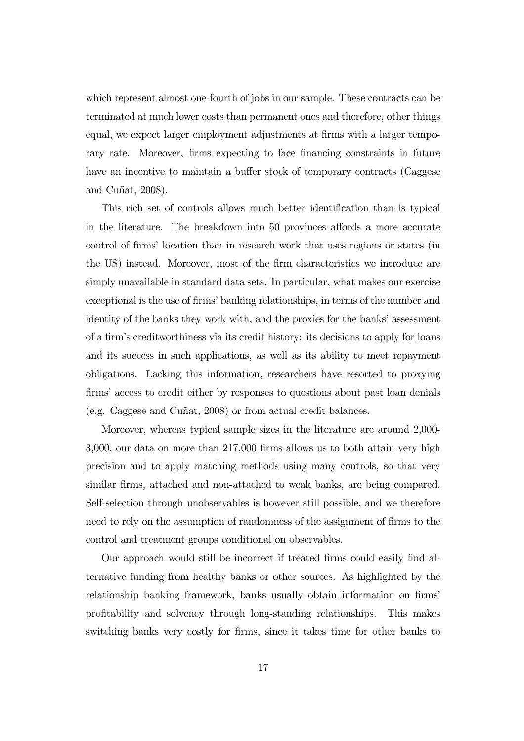which represent almost one-fourth of jobs in our sample. These contracts can be terminated at much lower costs than permanent ones and therefore, other things equal, we expect larger employment adjustments at firms with a larger temporary rate. Moreover, firms expecting to face financing constraints in future have an incentive to maintain a buffer stock of temporary contracts (Caggese and Cuñat, 2008).

This rich set of controls allows much better identification than is typical in the literature. The breakdown into 50 provinces affords a more accurate control of firms' location than in research work that uses regions or states (in the US) instead. Moreover, most of the firm characteristics we introduce are simply unavailable in standard data sets. In particular, what makes our exercise exceptional is the use of firms' banking relationships, in terms of the number and identity of the banks they work with, and the proxies for the banks' assessment of a firm's creditworthiness via its credit history: its decisions to apply for loans and its success in such applications, as well as its ability to meet repayment obligations. Lacking this information, researchers have resorted to proxying firms' access to credit either by responses to questions about past loan denials (e.g. Caggese and Cuñat, 2008) or from actual credit balances.

Moreover, whereas typical sample sizes in the literature are around 2,000- 3,000, our data on more than 217,000 firms allows us to both attain very high precision and to apply matching methods using many controls, so that very similar firms, attached and non-attached to weak banks, are being compared. Self-selection through unobservables is however still possible, and we therefore need to rely on the assumption of randomness of the assignment of firms to the control and treatment groups conditional on observables.

Our approach would still be incorrect if treated firms could easily find alternative funding from healthy banks or other sources. As highlighted by the relationship banking framework, banks usually obtain information on firms' profitability and solvency through long-standing relationships. This makes switching banks very costly for firms, since it takes time for other banks to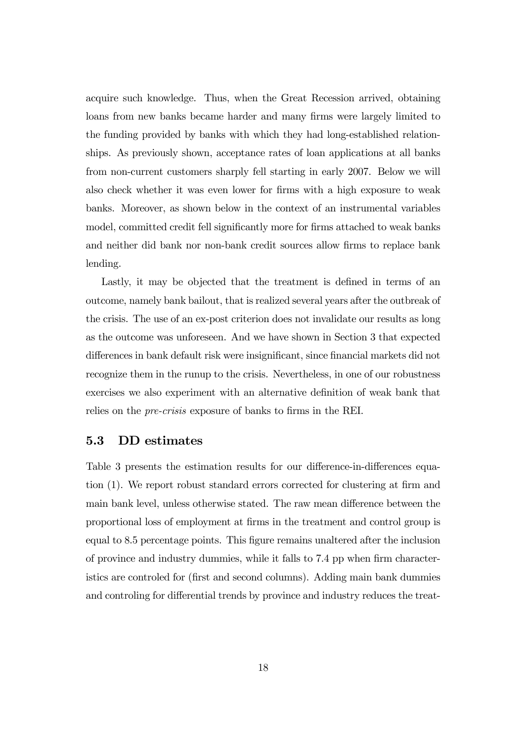acquire such knowledge. Thus, when the Great Recession arrived, obtaining loans from new banks became harder and many firms were largely limited to the funding provided by banks with which they had long-established relationships. As previously shown, acceptance rates of loan applications at all banks from non-current customers sharply fell starting in early 2007. Below we will also check whether it was even lower for firms with a high exposure to weak banks. Moreover, as shown below in the context of an instrumental variables model, committed credit fell significantly more for firms attached to weak banks and neither did bank nor non-bank credit sources allow firms to replace bank lending.

Lastly, it may be objected that the treatment is defined in terms of an outcome, namely bank bailout, that is realized several years after the outbreak of the crisis. The use of an ex-post criterion does not invalidate our results as long as the outcome was unforeseen. And we have shown in Section 3 that expected differences in bank default risk were insignificant, since financial markets did not recognize them in the runup to the crisis. Nevertheless, in one of our robustness exercises we also experiment with an alternative definition of weak bank that relies on the pre-crisis exposure of banks to firms in the REI.

#### 5.3 DD estimates

Table 3 presents the estimation results for our difference-in-differences equation (1). We report robust standard errors corrected for clustering at firm and main bank level, unless otherwise stated. The raw mean difference between the proportional loss of employment at firms in the treatment and control group is equal to 8.5 percentage points. This figure remains unaltered after the inclusion of province and industry dummies, while it falls to 7.4 pp when firm characteristics are controled for (first and second columns). Adding main bank dummies and controling for differential trends by province and industry reduces the treat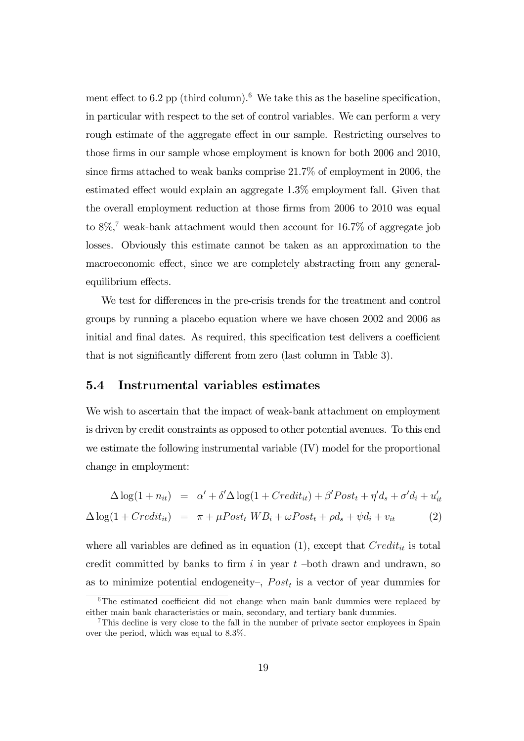ment effect to  $6.2$  pp (third column).<sup>6</sup> We take this as the baseline specification, in particular with respect to the set of control variables. We can perform a very rough estimate of the aggregate effect in our sample. Restricting ourselves to those firms in our sample whose employment is known for both 2006 and 2010, since firms attached to weak banks comprise 21.7% of employment in 2006, the estimated effect would explain an aggregate 1.3% employment fall. Given that the overall employment reduction at those firms from 2006 to 2010 was equal to  $8\%$ ,<sup>7</sup> weak-bank attachment would then account for 16.7% of aggregate job losses. Obviously this estimate cannot be taken as an approximation to the macroeconomic effect, since we are completely abstracting from any generalequilibrium effects.

We test for differences in the pre-crisis trends for the treatment and control groups by running a placebo equation where we have chosen 2002 and 2006 as initial and final dates. As required, this specification test delivers a coefficient that is not significantly different from zero (last column in Table 3).

#### 5.4 Instrumental variables estimates

We wish to ascertain that the impact of weak-bank attachment on employment is driven by credit constraints as opposed to other potential avenues. To this end we estimate the following instrumental variable (IV) model for the proportional change in employment:

$$
\Delta \log(1 + n_{it}) = \alpha' + \delta' \Delta \log(1 + Credit_{it}) + \beta' Post_t + \eta' d_s + \sigma' d_i + u'_{it}
$$
  

$$
\Delta \log(1 + Credit_{it}) = \pi + \mu Post_t WB_i + \omega Post_t + \rho d_s + \psi d_i + v_{it}
$$
 (2)

where all variables are defined as in equation  $(1)$ , except that  $Credit_{it}$  is total credit committed by banks to firm  $i$  in year  $t$  -both drawn and undrawn, so as to minimize potential endogeneity-,  $Post<sub>t</sub>$  is a vector of year dummies for

<sup>&</sup>lt;sup>6</sup>The estimated coefficient did not change when main bank dummies were replaced by either main bank characteristics or main, secondary, and tertiary bank dummies.

<sup>7</sup>This decline is very close to the fall in the number of private sector employees in Spain over the period, which was equal to 8.3%.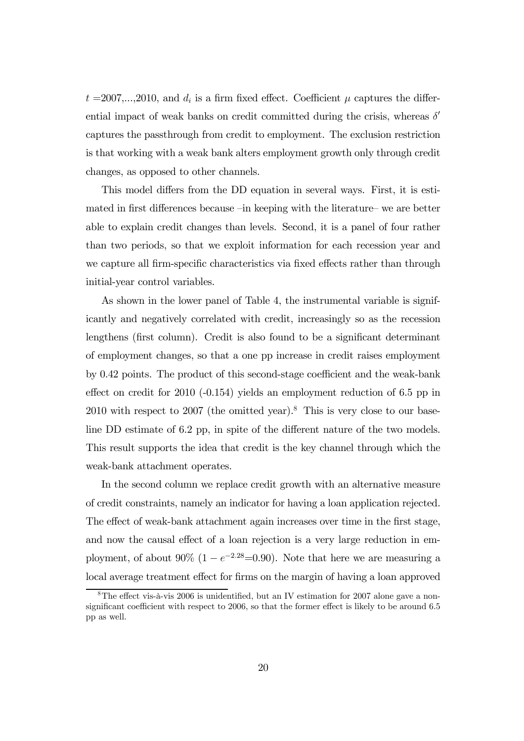$t = 2007,...,2010$ , and  $d_i$  is a firm fixed effect. Coefficient  $\mu$  captures the differential impact of weak banks on credit committed during the crisis, whereas  $\delta'$ captures the passthrough from credit to employment. The exclusion restriction is that working with a weak bank alters employment growth only through credit changes, as opposed to other channels.

This model differs from the DD equation in several ways. First, it is estimated in first differences because —in keeping with the literature— we are better able to explain credit changes than levels. Second, it is a panel of four rather than two periods, so that we exploit information for each recession year and we capture all firm-specific characteristics via fixed effects rather than through initial-year control variables.

As shown in the lower panel of Table 4, the instrumental variable is significantly and negatively correlated with credit, increasingly so as the recession lengthens (first column). Credit is also found to be a significant determinant of employment changes, so that a one pp increase in credit raises employment by 0.42 points. The product of this second-stage coefficient and the weak-bank effect on credit for 2010 (-0.154) yields an employment reduction of 6.5 pp in  $2010$  with respect to  $2007$  (the omitted year).<sup>8</sup> This is very close to our baseline DD estimate of 6.2 pp, in spite of the different nature of the two models. This result supports the idea that credit is the key channel through which the weak-bank attachment operates.

In the second column we replace credit growth with an alternative measure of credit constraints, namely an indicator for having a loan application rejected. The effect of weak-bank attachment again increases over time in the first stage, and now the causal effect of a loan rejection is a very large reduction in employment, of about 90% (1 –  $e^{-2.28}$ =0.90). Note that here we are measuring a local average treatment effect for firms on the margin of having a loan approved

<sup>8</sup>The effect vis-à-vis 2006 is unidentified, but an IV estimation for 2007 alone gave a nonsignificant coefficient with respect to 2006, so that the former effect is likely to be around 6.5 pp as well.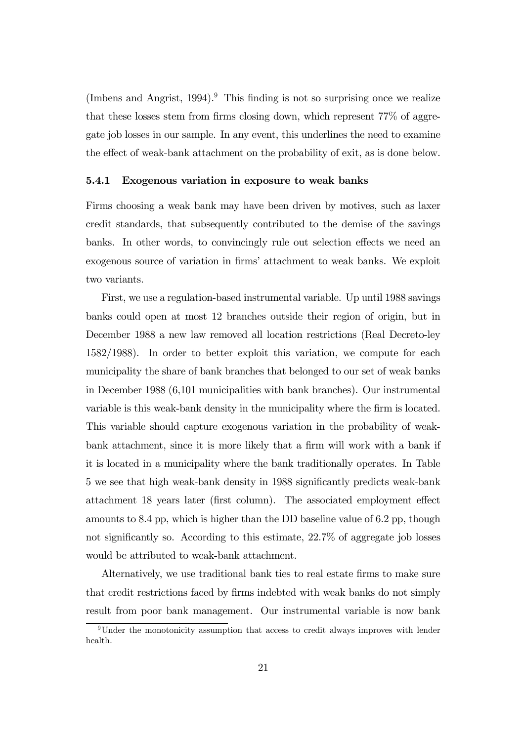(Imbens and Angrist,  $1994$ ).<sup>9</sup> This finding is not so surprising once we realize that these losses stem from firms closing down, which represent 77% of aggregate job losses in our sample. In any event, this underlines the need to examine the effect of weak-bank attachment on the probability of exit, as is done below.

#### 5.4.1 Exogenous variation in exposure to weak banks

Firms choosing a weak bank may have been driven by motives, such as laxer credit standards, that subsequently contributed to the demise of the savings banks. In other words, to convincingly rule out selection effects we need an exogenous source of variation in firms' attachment to weak banks. We exploit two variants.

First, we use a regulation-based instrumental variable. Up until 1988 savings banks could open at most 12 branches outside their region of origin, but in December 1988 a new law removed all location restrictions (Real Decreto-ley 1582/1988). In order to better exploit this variation, we compute for each municipality the share of bank branches that belonged to our set of weak banks in December 1988 (6,101 municipalities with bank branches). Our instrumental variable is this weak-bank density in the municipality where the firm is located. This variable should capture exogenous variation in the probability of weakbank attachment, since it is more likely that a firm will work with a bank if it is located in a municipality where the bank traditionally operates. In Table 5 we see that high weak-bank density in 1988 significantly predicts weak-bank attachment 18 years later (first column). The associated employment effect amounts to 8.4 pp, which is higher than the DD baseline value of 6.2 pp, though not significantly so. According to this estimate, 22.7% of aggregate job losses would be attributed to weak-bank attachment.

Alternatively, we use traditional bank ties to real estate firms to make sure that credit restrictions faced by firms indebted with weak banks do not simply result from poor bank management. Our instrumental variable is now bank

<sup>&</sup>lt;sup>9</sup>Under the monotonicity assumption that access to credit always improves with lender health.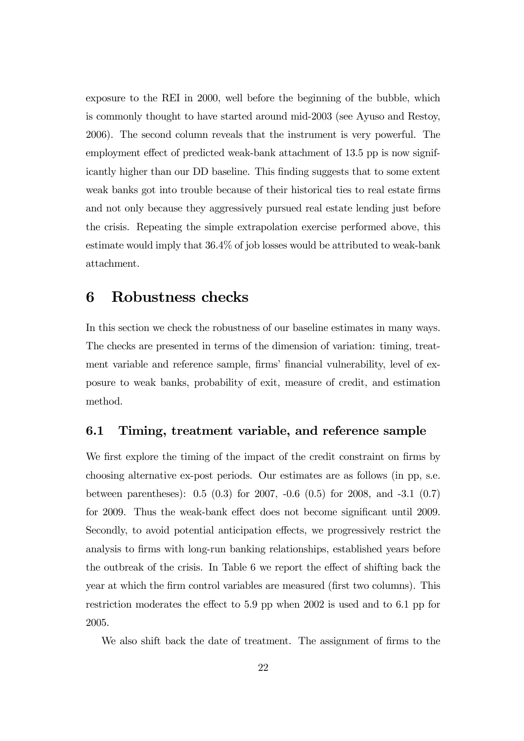exposure to the REI in 2000, well before the beginning of the bubble, which is commonly thought to have started around mid-2003 (see Ayuso and Restoy, 2006). The second column reveals that the instrument is very powerful. The employment effect of predicted weak-bank attachment of 13.5 pp is now significantly higher than our DD baseline. This finding suggests that to some extent weak banks got into trouble because of their historical ties to real estate firms and not only because they aggressively pursued real estate lending just before the crisis. Repeating the simple extrapolation exercise performed above, this estimate would imply that 36.4% of job losses would be attributed to weak-bank attachment.

#### 6 Robustness checks

In this section we check the robustness of our baseline estimates in many ways. The checks are presented in terms of the dimension of variation: timing, treatment variable and reference sample, firms' financial vulnerability, level of exposure to weak banks, probability of exit, measure of credit, and estimation method.

#### 6.1 Timing, treatment variable, and reference sample

We first explore the timing of the impact of the credit constraint on firms by choosing alternative ex-post periods. Our estimates are as follows (in pp, s.e. between parentheses): 0.5 (0.3) for 2007, -0.6 (0.5) for 2008, and -3.1 (0.7) for 2009. Thus the weak-bank effect does not become significant until 2009. Secondly, to avoid potential anticipation effects, we progressively restrict the analysis to firms with long-run banking relationships, established years before the outbreak of the crisis. In Table 6 we report the effect of shifting back the year at which the firm control variables are measured (first two columns). This restriction moderates the effect to 5.9 pp when 2002 is used and to 6.1 pp for 2005.

We also shift back the date of treatment. The assignment of firms to the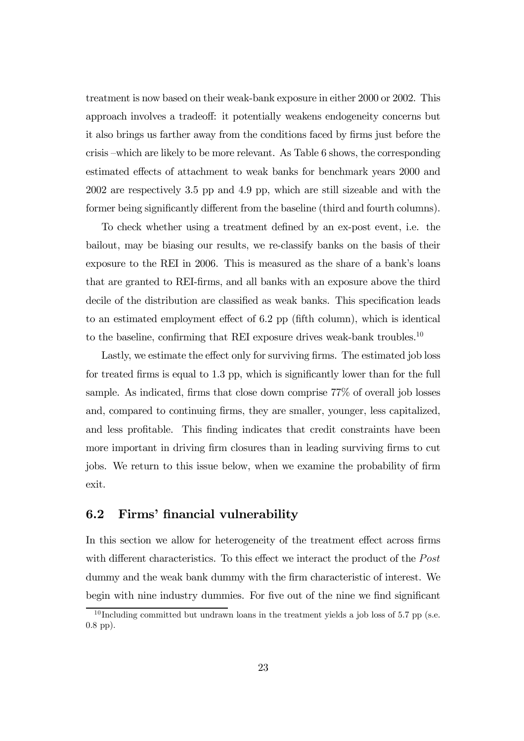treatment is now based on their weak-bank exposure in either 2000 or 2002. This approach involves a tradeoff: it potentially weakens endogeneity concerns but it also brings us farther away from the conditions faced by firms just before the crisis —which are likely to be more relevant. As Table 6 shows, the corresponding estimated effects of attachment to weak banks for benchmark years 2000 and 2002 are respectively 3.5 pp and 4.9 pp, which are still sizeable and with the former being significantly different from the baseline (third and fourth columns).

To check whether using a treatment defined by an ex-post event, i.e. the bailout, may be biasing our results, we re-classify banks on the basis of their exposure to the REI in 2006. This is measured as the share of a bank's loans that are granted to REI-firms, and all banks with an exposure above the third decile of the distribution are classified as weak banks. This specification leads to an estimated employment effect of 6.2 pp (fifth column), which is identical to the baseline, confirming that REI exposure drives weak-bank troubles.<sup>10</sup>

Lastly, we estimate the effect only for surviving firms. The estimated job loss for treated firms is equal to 1.3 pp, which is significantly lower than for the full sample. As indicated, firms that close down comprise 77% of overall job losses and, compared to continuing firms, they are smaller, younger, less capitalized, and less profitable. This finding indicates that credit constraints have been more important in driving firm closures than in leading surviving firms to cut jobs. We return to this issue below, when we examine the probability of firm exit.

#### 6.2 Firms' financial vulnerability

In this section we allow for heterogeneity of the treatment effect across firms with different characteristics. To this effect we interact the product of the  $Post$ dummy and the weak bank dummy with the firm characteristic of interest. We begin with nine industry dummies. For five out of the nine we find significant

 $10$  Including committed but undrawn loans in the treatment yields a job loss of 5.7 pp (s.e. 0.8 pp).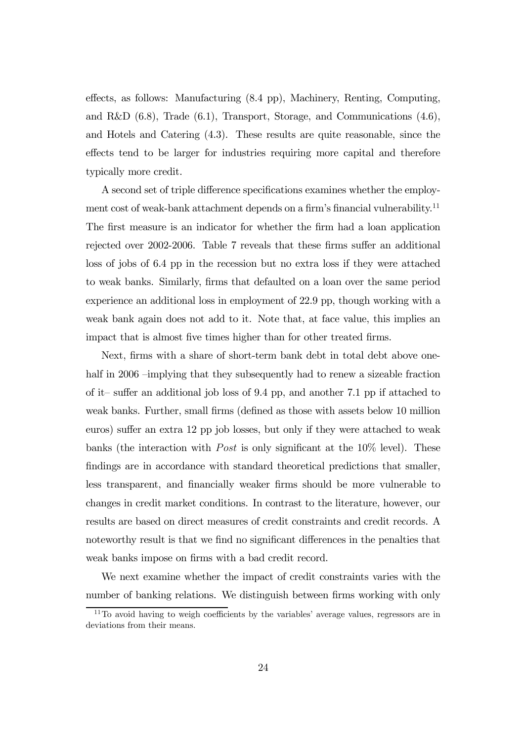effects, as follows: Manufacturing (8.4 pp), Machinery, Renting, Computing, and R&D (6.8), Trade (6.1), Transport, Storage, and Communications (4.6), and Hotels and Catering (4.3). These results are quite reasonable, since the effects tend to be larger for industries requiring more capital and therefore typically more credit.

A second set of triple difference specifications examines whether the employment cost of weak-bank attachment depends on a firm's financial vulnerability.<sup>11</sup> The first measure is an indicator for whether the firm had a loan application rejected over 2002-2006. Table 7 reveals that these firms suffer an additional loss of jobs of 6.4 pp in the recession but no extra loss if they were attached to weak banks. Similarly, firms that defaulted on a loan over the same period experience an additional loss in employment of 22.9 pp, though working with a weak bank again does not add to it. Note that, at face value, this implies an impact that is almost five times higher than for other treated firms.

Next, firms with a share of short-term bank debt in total debt above onehalf in 2006 –implying that they subsequently had to renew a sizeable fraction of it— suffer an additional job loss of 9.4 pp, and another 7.1 pp if attached to weak banks. Further, small firms (defined as those with assets below 10 million euros) suffer an extra 12 pp job losses, but only if they were attached to weak banks (the interaction with *Post* is only significant at the  $10\%$  level). These findings are in accordance with standard theoretical predictions that smaller, less transparent, and financially weaker firms should be more vulnerable to changes in credit market conditions. In contrast to the literature, however, our results are based on direct measures of credit constraints and credit records. A noteworthy result is that we find no significant differences in the penalties that weak banks impose on firms with a bad credit record.

We next examine whether the impact of credit constraints varies with the number of banking relations. We distinguish between firms working with only

<sup>&</sup>lt;sup>11</sup>To avoid having to weigh coefficients by the variables' average values, regressors are in deviations from their means.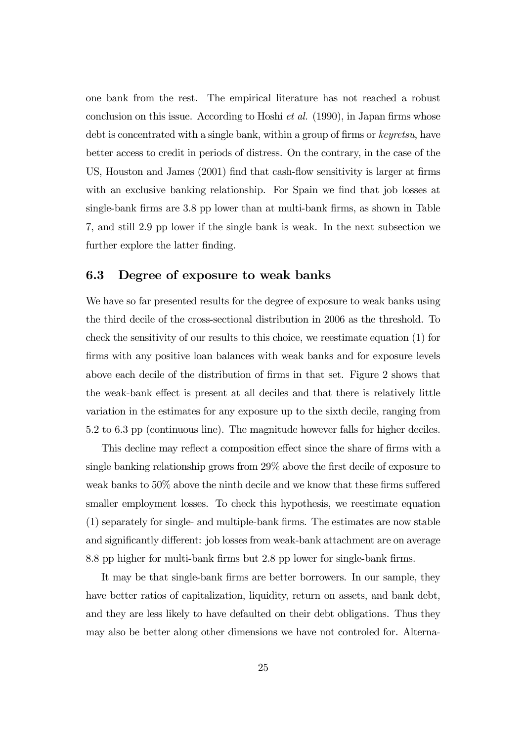one bank from the rest. The empirical literature has not reached a robust conclusion on this issue. According to Hoshi *et al.* (1990), in Japan firms whose debt is concentrated with a single bank, within a group of firms or keyretsu, have better access to credit in periods of distress. On the contrary, in the case of the US, Houston and James (2001) find that cash-flow sensitivity is larger at firms with an exclusive banking relationship. For Spain we find that job losses at single-bank firms are 3.8 pp lower than at multi-bank firms, as shown in Table 7, and still 2.9 pp lower if the single bank is weak. In the next subsection we further explore the latter finding.

#### 6.3 Degree of exposure to weak banks

We have so far presented results for the degree of exposure to weak banks using the third decile of the cross-sectional distribution in 2006 as the threshold. To check the sensitivity of our results to this choice, we reestimate equation (1) for firms with any positive loan balances with weak banks and for exposure levels above each decile of the distribution of firms in that set. Figure 2 shows that the weak-bank effect is present at all deciles and that there is relatively little variation in the estimates for any exposure up to the sixth decile, ranging from 5.2 to 6.3 pp (continuous line). The magnitude however falls for higher deciles.

This decline may reflect a composition effect since the share of firms with a single banking relationship grows from 29% above the first decile of exposure to weak banks to 50% above the ninth decile and we know that these firms suffered smaller employment losses. To check this hypothesis, we reestimate equation (1) separately for single- and multiple-bank firms. The estimates are now stable and significantly different: job losses from weak-bank attachment are on average 8.8 pp higher for multi-bank firms but 2.8 pp lower for single-bank firms.

It may be that single-bank firms are better borrowers. In our sample, they have better ratios of capitalization, liquidity, return on assets, and bank debt, and they are less likely to have defaulted on their debt obligations. Thus they may also be better along other dimensions we have not controled for. Alterna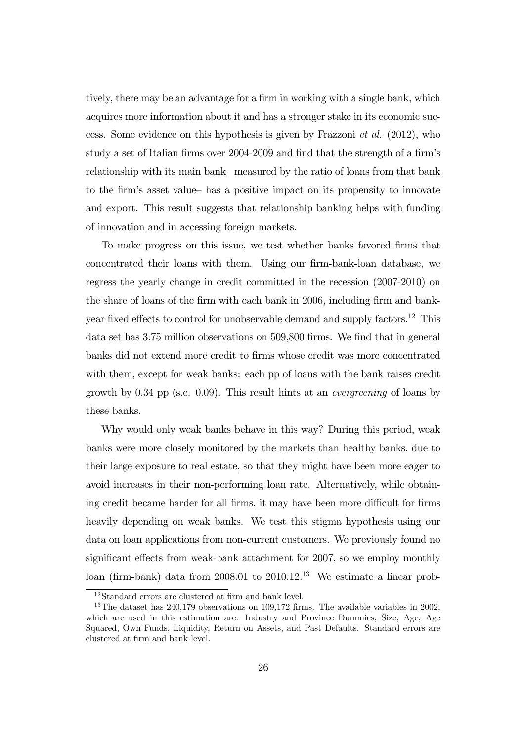tively, there may be an advantage for a firm in working with a single bank, which acquires more information about it and has a stronger stake in its economic success. Some evidence on this hypothesis is given by Frazzoni et al. (2012), who study a set of Italian firms over 2004-2009 and find that the strength of a firm's relationship with its main bank —measured by the ratio of loans from that bank to the firm's asset value— has a positive impact on its propensity to innovate and export. This result suggests that relationship banking helps with funding of innovation and in accessing foreign markets.

To make progress on this issue, we test whether banks favored firms that concentrated their loans with them. Using our firm-bank-loan database, we regress the yearly change in credit committed in the recession (2007-2010) on the share of loans of the firm with each bank in 2006, including firm and bankyear fixed effects to control for unobservable demand and supply factors.<sup>12</sup> This data set has 3.75 million observations on 509,800 firms. We find that in general banks did not extend more credit to firms whose credit was more concentrated with them, except for weak banks: each pp of loans with the bank raises credit growth by  $0.34$  pp (s.e.  $0.09$ ). This result hints at an *evergreening* of loans by these banks.

Why would only weak banks behave in this way? During this period, weak banks were more closely monitored by the markets than healthy banks, due to their large exposure to real estate, so that they might have been more eager to avoid increases in their non-performing loan rate. Alternatively, while obtaining credit became harder for all firms, it may have been more difficult for firms heavily depending on weak banks. We test this stigma hypothesis using our data on loan applications from non-current customers. We previously found no significant effects from weak-bank attachment for 2007, so we employ monthly loan (firm-bank) data from 2008:01 to 2010:12.13 We estimate a linear prob-

 $^{12}\mathrm{Standard}$  errors are clustered at firm and bank level.

<sup>&</sup>lt;sup>13</sup>The dataset has  $240,179$  observations on  $109,172$  firms. The available variables in 2002, which are used in this estimation are: Industry and Province Dummies, Size, Age, Age Squared, Own Funds, Liquidity, Return on Assets, and Past Defaults. Standard errors are clustered at firm and bank level.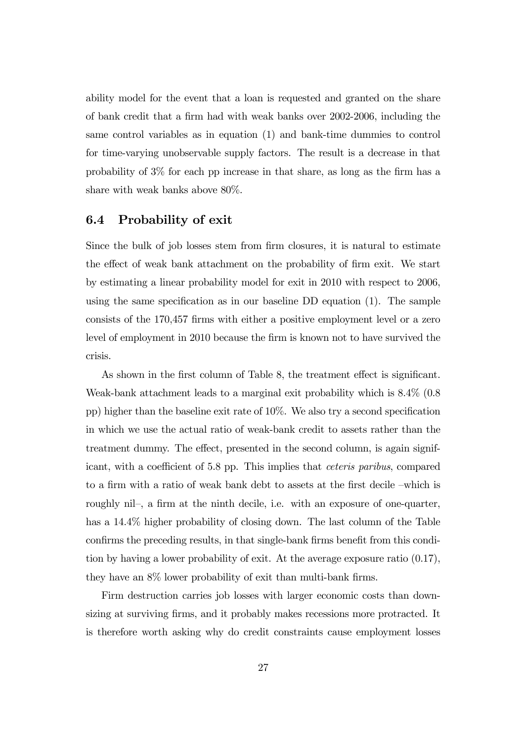ability model for the event that a loan is requested and granted on the share of bank credit that a firm had with weak banks over 2002-2006, including the same control variables as in equation (1) and bank-time dummies to control for time-varying unobservable supply factors. The result is a decrease in that probability of 3% for each pp increase in that share, as long as the firm has a share with weak banks above 80%.

#### 6.4 Probability of exit

Since the bulk of job losses stem from firm closures, it is natural to estimate the effect of weak bank attachment on the probability of firm exit. We start by estimating a linear probability model for exit in 2010 with respect to 2006, using the same specification as in our baseline DD equation (1). The sample consists of the 170,457 firms with either a positive employment level or a zero level of employment in 2010 because the firm is known not to have survived the crisis.

As shown in the first column of Table 8, the treatment effect is significant. Weak-bank attachment leads to a marginal exit probability which is 8.4% (0.8 pp) higher than the baseline exit rate of 10%. We also try a second specification in which we use the actual ratio of weak-bank credit to assets rather than the treatment dummy. The effect, presented in the second column, is again significant, with a coefficient of 5.8 pp. This implies that ceteris paribus, compared to a firm with a ratio of weak bank debt to assets at the first decile —which is roughly nil—, a firm at the ninth decile, i.e. with an exposure of one-quarter, has a 14.4% higher probability of closing down. The last column of the Table confirms the preceding results, in that single-bank firms benefit from this condition by having a lower probability of exit. At the average exposure ratio (0.17), they have an 8% lower probability of exit than multi-bank firms.

Firm destruction carries job losses with larger economic costs than downsizing at surviving firms, and it probably makes recessions more protracted. It is therefore worth asking why do credit constraints cause employment losses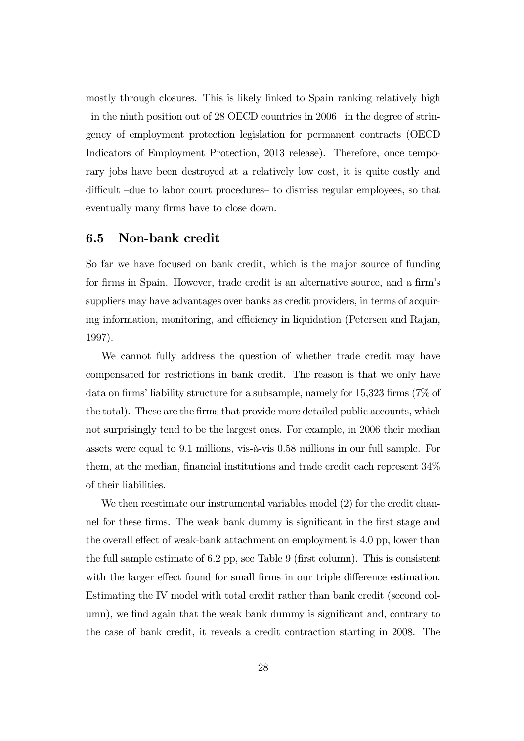mostly through closures. This is likely linked to Spain ranking relatively high —in the ninth position out of 28 OECD countries in 2006— in the degree of stringency of employment protection legislation for permanent contracts (OECD Indicators of Employment Protection, 2013 release). Therefore, once temporary jobs have been destroyed at a relatively low cost, it is quite costly and difficult —due to labor court procedures— to dismiss regular employees, so that eventually many firms have to close down.

#### 6.5 Non-bank credit

So far we have focused on bank credit, which is the major source of funding for firms in Spain. However, trade credit is an alternative source, and a firm's suppliers may have advantages over banks as credit providers, in terms of acquiring information, monitoring, and efficiency in liquidation (Petersen and Rajan, 1997).

We cannot fully address the question of whether trade credit may have compensated for restrictions in bank credit. The reason is that we only have data on firms' liability structure for a subsample, namely for 15,323 firms (7% of the total). These are the firms that provide more detailed public accounts, which not surprisingly tend to be the largest ones. For example, in 2006 their median assets were equal to 9.1 millions, vis-à-vis 0.58 millions in our full sample. For them, at the median, financial institutions and trade credit each represent 34% of their liabilities.

We then reestimate our instrumental variables model (2) for the credit channel for these firms. The weak bank dummy is significant in the first stage and the overall effect of weak-bank attachment on employment is 4.0 pp, lower than the full sample estimate of 6.2 pp, see Table 9 (first column). This is consistent with the larger effect found for small firms in our triple difference estimation. Estimating the IV model with total credit rather than bank credit (second column), we find again that the weak bank dummy is significant and, contrary to the case of bank credit, it reveals a credit contraction starting in 2008. The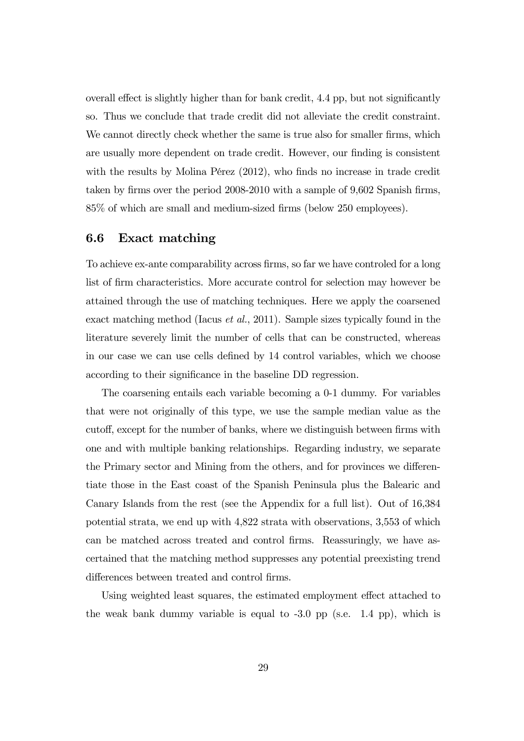overall effect is slightly higher than for bank credit, 4.4 pp, but not significantly so. Thus we conclude that trade credit did not alleviate the credit constraint. We cannot directly check whether the same is true also for smaller firms, which are usually more dependent on trade credit. However, our finding is consistent with the results by Molina Pérez (2012), who finds no increase in trade credit taken by firms over the period 2008-2010 with a sample of 9,602 Spanish firms, 85% of which are small and medium-sized firms (below 250 employees).

#### 6.6 Exact matching

To achieve ex-ante comparability across firms, so far we have controled for a long list of firm characteristics. More accurate control for selection may however be attained through the use of matching techniques. Here we apply the coarsened exact matching method (Iacus et al., 2011). Sample sizes typically found in the literature severely limit the number of cells that can be constructed, whereas in our case we can use cells defined by 14 control variables, which we choose according to their significance in the baseline DD regression.

The coarsening entails each variable becoming a 0-1 dummy. For variables that were not originally of this type, we use the sample median value as the cutoff, except for the number of banks, where we distinguish between firms with one and with multiple banking relationships. Regarding industry, we separate the Primary sector and Mining from the others, and for provinces we differentiate those in the East coast of the Spanish Peninsula plus the Balearic and Canary Islands from the rest (see the Appendix for a full list). Out of 16,384 potential strata, we end up with 4,822 strata with observations, 3,553 of which can be matched across treated and control firms. Reassuringly, we have ascertained that the matching method suppresses any potential preexisting trend differences between treated and control firms.

Using weighted least squares, the estimated employment effect attached to the weak bank dummy variable is equal to -3.0 pp (s.e. 1.4 pp), which is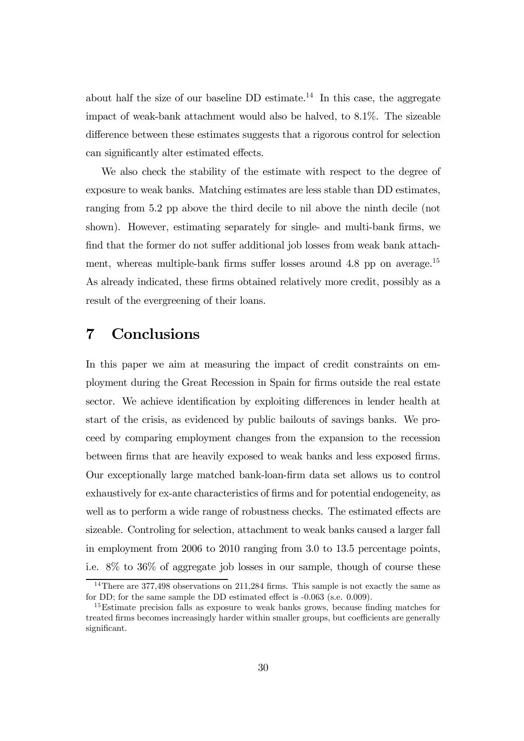about half the size of our baseline  $DD$  estimate.<sup>14</sup> In this case, the aggregate impact of weak-bank attachment would also be halved, to 8.1%. The sizeable difference between these estimates suggests that a rigorous control for selection can significantly alter estimated effects.

We also check the stability of the estimate with respect to the degree of exposure to weak banks. Matching estimates are less stable than DD estimates, ranging from 5.2 pp above the third decile to nil above the ninth decile (not shown). However, estimating separately for single- and multi-bank firms, we find that the former do not suffer additional job losses from weak bank attachment, whereas multiple-bank firms suffer losses around  $4.8$  pp on average.<sup>15</sup> As already indicated, these firms obtained relatively more credit, possibly as a result of the evergreening of their loans.

## 7 Conclusions

In this paper we aim at measuring the impact of credit constraints on employment during the Great Recession in Spain for firms outside the real estate sector. We achieve identification by exploiting differences in lender health at start of the crisis, as evidenced by public bailouts of savings banks. We proceed by comparing employment changes from the expansion to the recession between firms that are heavily exposed to weak banks and less exposed firms. Our exceptionally large matched bank-loan-firm data set allows us to control exhaustively for ex-ante characteristics of firms and for potential endogeneity, as well as to perform a wide range of robustness checks. The estimated effects are sizeable. Controling for selection, attachment to weak banks caused a larger fall in employment from 2006 to 2010 ranging from 3.0 to 13.5 percentage points, i.e. 8% to 36% of aggregate job losses in our sample, though of course these

<sup>&</sup>lt;sup>14</sup>There are 377,498 observations on 211,284 firms. This sample is not exactly the same as for DD; for the same sample the DD estimated effect is -0.063 (s.e. 0.009).

<sup>&</sup>lt;sup>15</sup>Estimate precision falls as exposure to weak banks grows, because finding matches for treated firms becomes increasingly harder within smaller groups, but coefficients are generally significant.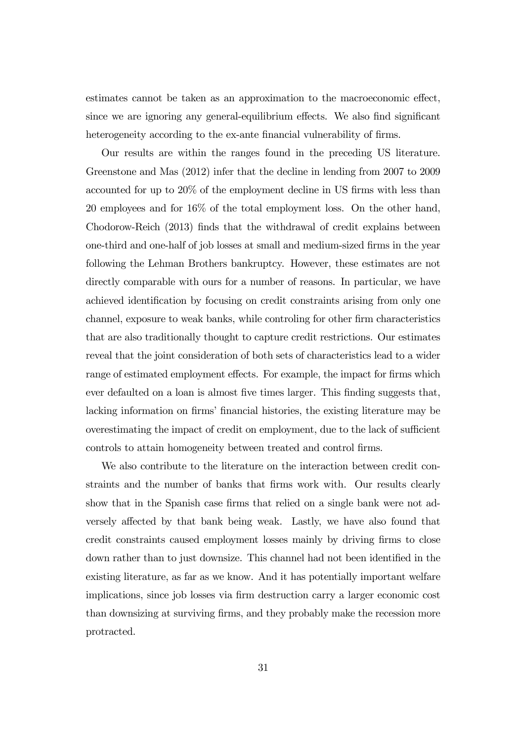estimates cannot be taken as an approximation to the macroeconomic effect, since we are ignoring any general-equilibrium effects. We also find significant heterogeneity according to the ex-ante financial vulnerability of firms.

Our results are within the ranges found in the preceding US literature. Greenstone and Mas (2012) infer that the decline in lending from 2007 to 2009 accounted for up to 20% of the employment decline in US firms with less than 20 employees and for 16% of the total employment loss. On the other hand, Chodorow-Reich (2013) finds that the withdrawal of credit explains between one-third and one-half of job losses at small and medium-sized firms in the year following the Lehman Brothers bankruptcy. However, these estimates are not directly comparable with ours for a number of reasons. In particular, we have achieved identification by focusing on credit constraints arising from only one channel, exposure to weak banks, while controling for other firm characteristics that are also traditionally thought to capture credit restrictions. Our estimates reveal that the joint consideration of both sets of characteristics lead to a wider range of estimated employment effects. For example, the impact for firms which ever defaulted on a loan is almost five times larger. This finding suggests that, lacking information on firms' financial histories, the existing literature may be overestimating the impact of credit on employment, due to the lack of sufficient controls to attain homogeneity between treated and control firms.

We also contribute to the literature on the interaction between credit constraints and the number of banks that firms work with. Our results clearly show that in the Spanish case firms that relied on a single bank were not adversely affected by that bank being weak. Lastly, we have also found that credit constraints caused employment losses mainly by driving firms to close down rather than to just downsize. This channel had not been identified in the existing literature, as far as we know. And it has potentially important welfare implications, since job losses via firm destruction carry a larger economic cost than downsizing at surviving firms, and they probably make the recession more protracted.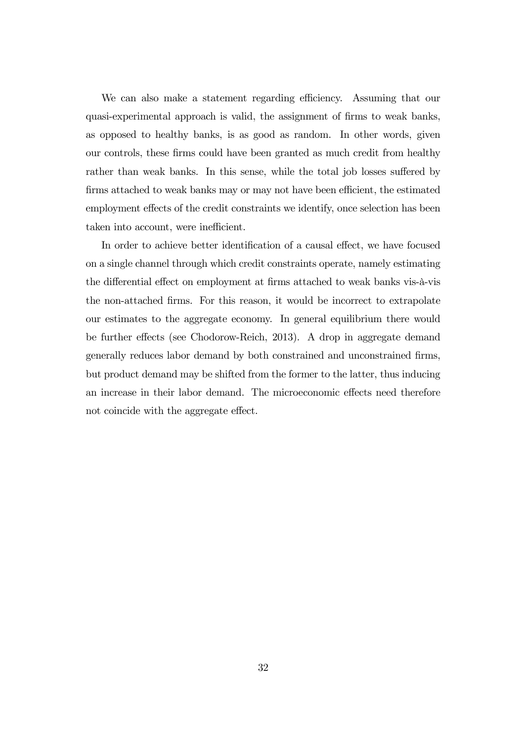We can also make a statement regarding efficiency. Assuming that our quasi-experimental approach is valid, the assignment of firms to weak banks, as opposed to healthy banks, is as good as random. In other words, given our controls, these firms could have been granted as much credit from healthy rather than weak banks. In this sense, while the total job losses suffered by firms attached to weak banks may or may not have been efficient, the estimated employment effects of the credit constraints we identify, once selection has been taken into account, were inefficient.

In order to achieve better identification of a causal effect, we have focused on a single channel through which credit constraints operate, namely estimating the differential effect on employment at firms attached to weak banks vis-à-vis the non-attached firms. For this reason, it would be incorrect to extrapolate our estimates to the aggregate economy. In general equilibrium there would be further effects (see Chodorow-Reich, 2013). A drop in aggregate demand generally reduces labor demand by both constrained and unconstrained firms, but product demand may be shifted from the former to the latter, thus inducing an increase in their labor demand. The microeconomic effects need therefore not coincide with the aggregate effect.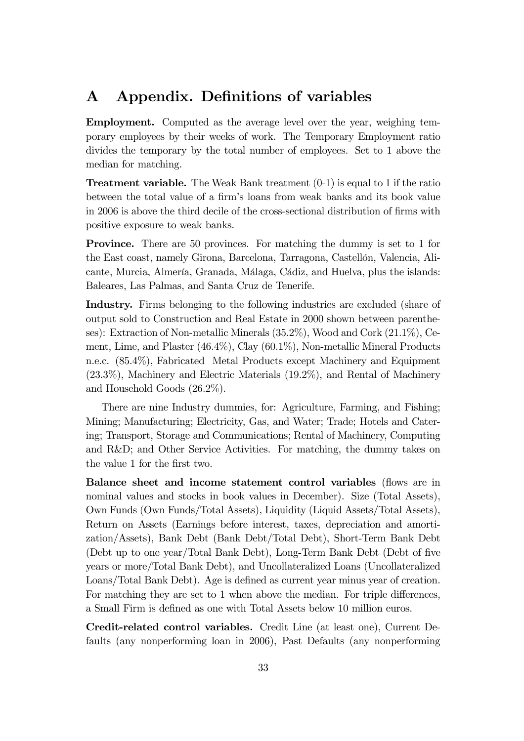## A Appendix. Definitions of variables

Employment. Computed as the average level over the year, weighing temporary employees by their weeks of work. The Temporary Employment ratio divides the temporary by the total number of employees. Set to 1 above the median for matching.

**Treatment variable.** The Weak Bank treatment  $(0-1)$  is equal to 1 if the ratio between the total value of a firm's loans from weak banks and its book value in 2006 is above the third decile of the cross-sectional distribution of firms with positive exposure to weak banks.

Province. There are 50 provinces. For matching the dummy is set to 1 for the East coast, namely Girona, Barcelona, Tarragona, Castellón, Valencia, Alicante, Murcia, Almería, Granada, Málaga, Cádiz, and Huelva, plus the islands: Baleares, Las Palmas, and Santa Cruz de Tenerife.

Industry. Firms belonging to the following industries are excluded (share of output sold to Construction and Real Estate in 2000 shown between parentheses): Extraction of Non-metallic Minerals (35.2%), Wood and Cork (21.1%), Cement, Lime, and Plaster (46.4%), Clay (60.1%), Non-metallic Mineral Products n.e.c. (85.4%), Fabricated Metal Products except Machinery and Equipment (23.3%), Machinery and Electric Materials (19.2%), and Rental of Machinery and Household Goods (26.2%).

There are nine Industry dummies, for: Agriculture, Farming, and Fishing; Mining; Manufacturing; Electricity, Gas, and Water; Trade; Hotels and Catering; Transport, Storage and Communications; Rental of Machinery, Computing and R&D; and Other Service Activities. For matching, the dummy takes on the value 1 for the first two.

Balance sheet and income statement control variables (flows are in nominal values and stocks in book values in December). Size (Total Assets), Own Funds (Own Funds/Total Assets), Liquidity (Liquid Assets/Total Assets), Return on Assets (Earnings before interest, taxes, depreciation and amortization/Assets), Bank Debt (Bank Debt/Total Debt), Short-Term Bank Debt (Debt up to one year/Total Bank Debt), Long-Term Bank Debt (Debt of five years or more/Total Bank Debt), and Uncollateralized Loans (Uncollateralized Loans/Total Bank Debt). Age is defined as current year minus year of creation. For matching they are set to 1 when above the median. For triple differences, a Small Firm is defined as one with Total Assets below 10 million euros.

Credit-related control variables. Credit Line (at least one), Current Defaults (any nonperforming loan in 2006), Past Defaults (any nonperforming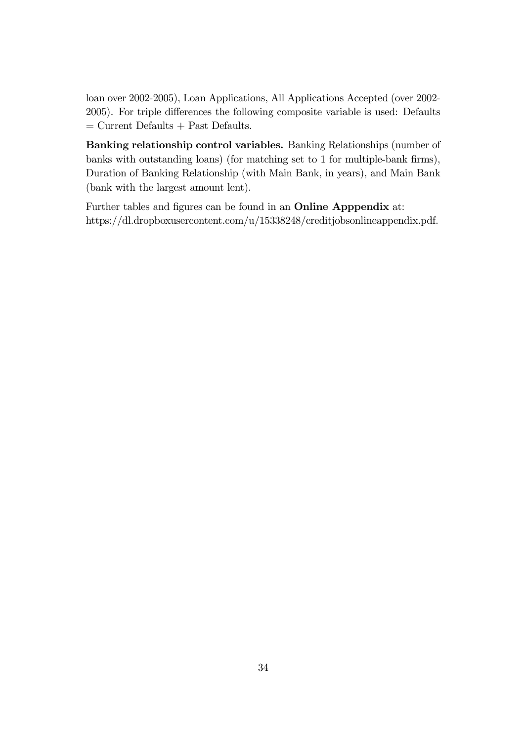loan over 2002-2005), Loan Applications, All Applications Accepted (over 2002- 2005). For triple differences the following composite variable is used: Defaults  $=$  Current Defaults + Past Defaults.

Banking relationship control variables. Banking Relationships (number of banks with outstanding loans) (for matching set to 1 for multiple-bank firms), Duration of Banking Relationship (with Main Bank, in years), and Main Bank (bank with the largest amount lent).

Further tables and figures can be found in an Online Apppendix at: https://dl.dropboxusercontent.com/u/15338248/creditjobsonlineappendix.pdf.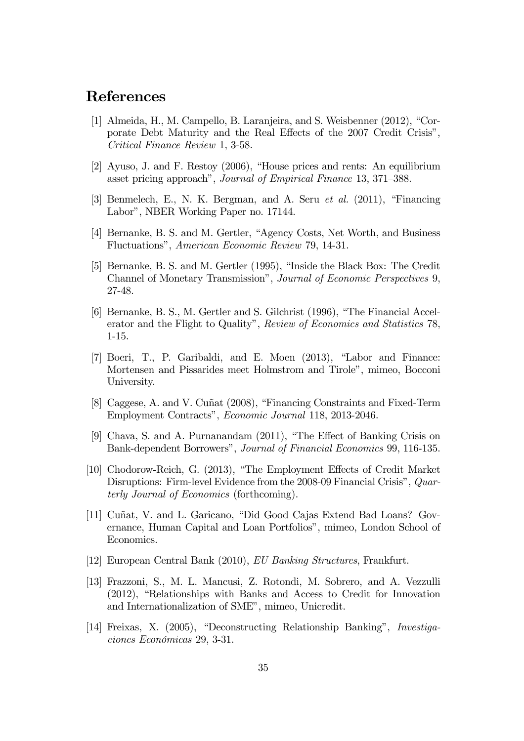## References

- [1] Almeida, H., M. Campello, B. Laranjeira, and S. Weisbenner (2012), "Corporate Debt Maturity and the Real Effects of the 2007 Credit Crisis", Critical Finance Review 1, 3-58.
- [2] Ayuso, J. and F. Restoy (2006), "House prices and rents: An equilibrium asset pricing approach", Journal of Empirical Finance 13, 371—388.
- [3] Benmelech, E., N. K. Bergman, and A. Seru et al. (2011), "Financing Labor", NBER Working Paper no. 17144.
- [4] Bernanke, B. S. and M. Gertler, "Agency Costs, Net Worth, and Business Fluctuations", American Economic Review 79, 14-31.
- [5] Bernanke, B. S. and M. Gertler (1995), "Inside the Black Box: The Credit Channel of Monetary Transmission", Journal of Economic Perspectives 9, 27-48.
- [6] Bernanke, B. S., M. Gertler and S. Gilchrist (1996), "The Financial Accelerator and the Flight to Quality", Review of Economics and Statistics 78, 1-15.
- [7] Boeri, T., P. Garibaldi, and E. Moen (2013), "Labor and Finance: Mortensen and Pissarides meet Holmstrom and Tirole", mimeo, Bocconi University.
- [8] Caggese, A. and V. Cuñat (2008), "Financing Constraints and Fixed-Term Employment Contracts", Economic Journal 118, 2013-2046.
- [9] Chava, S. and A. Purnanandam (2011), "The Effect of Banking Crisis on Bank-dependent Borrowers", Journal of Financial Economics 99, 116-135.
- [10] Chodorow-Reich, G. (2013), "The Employment Effects of Credit Market Disruptions: Firm-level Evidence from the 2008-09 Financial Crisis", Quarterly Journal of Economics (forthcoming).
- [11] Cuñat, V. and L. Garicano, "Did Good Cajas Extend Bad Loans? Governance, Human Capital and Loan Portfolios", mimeo, London School of Economics.
- [12] European Central Bank (2010), EU Banking Structures, Frankfurt.
- [13] Frazzoni, S., M. L. Mancusi, Z. Rotondi, M. Sobrero, and A. Vezzulli (2012), "Relationships with Banks and Access to Credit for Innovation and Internationalization of SME", mimeo, Unicredit.
- [14] Freixas, X. (2005), "Deconstructing Relationship Banking", Investigaciones Económicas 29, 3-31.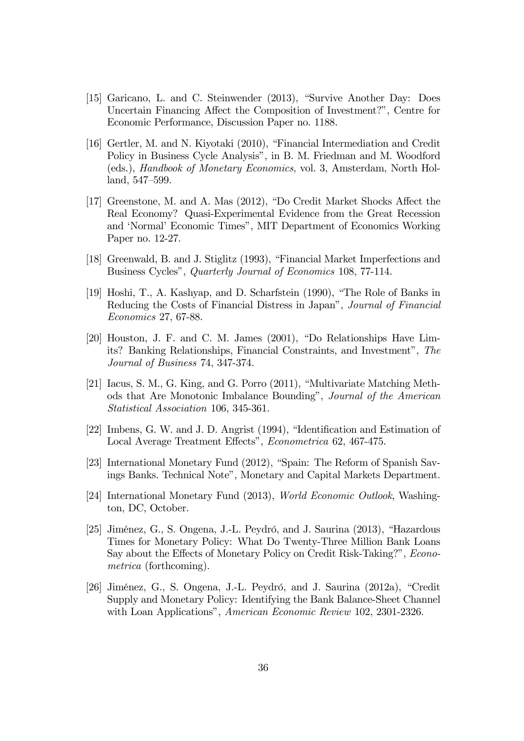- [15] Garicano, L. and C. Steinwender (2013), "Survive Another Day: Does Uncertain Financing Affect the Composition of Investment?", Centre for Economic Performance, Discussion Paper no. 1188.
- [16] Gertler, M. and N. Kiyotaki (2010), "Financial Intermediation and Credit Policy in Business Cycle Analysis", in B. M. Friedman and M. Woodford (eds.), Handbook of Monetary Economics, vol. 3, Amsterdam, North Holland, 547—599.
- [17] Greenstone, M. and A. Mas (2012), "Do Credit Market Shocks Affect the Real Economy? Quasi-Experimental Evidence from the Great Recession and 'Normal' Economic Times", MIT Department of Economics Working Paper no. 12-27.
- [18] Greenwald, B. and J. Stiglitz (1993), "Financial Market Imperfections and Business Cycles", Quarterly Journal of Economics 108, 77-114.
- [19] Hoshi, T., A. Kashyap, and D. Scharfstein (1990), "The Role of Banks in Reducing the Costs of Financial Distress in Japan", Journal of Financial Economics 27, 67-88.
- [20] Houston, J. F. and C. M. James (2001), "Do Relationships Have Limits? Banking Relationships, Financial Constraints, and Investment", The Journal of Business 74, 347-374.
- [21] Iacus, S. M., G. King, and G. Porro (2011), "Multivariate Matching Methods that Are Monotonic Imbalance Bounding", Journal of the American Statistical Association 106, 345-361.
- [22] Imbens, G. W. and J. D. Angrist (1994), "Identification and Estimation of Local Average Treatment Effects", Econometrica 62, 467-475.
- [23] International Monetary Fund (2012), "Spain: The Reform of Spanish Savings Banks. Technical Note", Monetary and Capital Markets Department.
- [24] International Monetary Fund (2013), World Economic Outlook, Washington, DC, October.
- [25] Jiménez, G., S. Ongena, J.-L. Peydró, and J. Saurina (2013), "Hazardous Times for Monetary Policy: What Do Twenty-Three Million Bank Loans Say about the Effects of Monetary Policy on Credit Risk-Taking?", Econometrica (forthcoming).
- [26] Jiménez, G., S. Ongena, J.-L. Peydró, and J. Saurina (2012a), "Credit Supply and Monetary Policy: Identifying the Bank Balance-Sheet Channel with Loan Applications", American Economic Review 102, 2301-2326.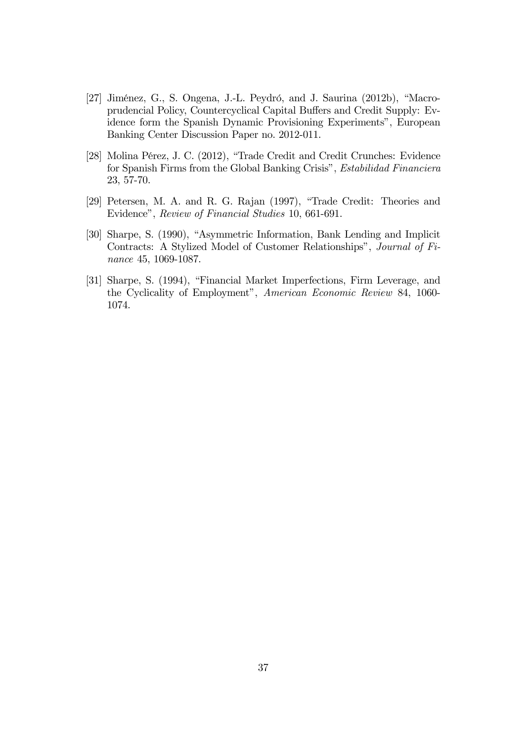- [27] Jiménez, G., S. Ongena, J.-L. Peydró, and J. Saurina (2012b), "Macroprudencial Policy, Countercyclical Capital Buffers and Credit Supply: Evidence form the Spanish Dynamic Provisioning Experiments", European Banking Center Discussion Paper no. 2012-011.
- [28] Molina Pérez, J. C. (2012), "Trade Credit and Credit Crunches: Evidence for Spanish Firms from the Global Banking Crisis", Estabilidad Financiera 23, 57-70.
- [29] Petersen, M. A. and R. G. Rajan (1997), "Trade Credit: Theories and Evidence", Review of Financial Studies 10, 661-691.
- [30] Sharpe, S. (1990), "Asymmetric Information, Bank Lending and Implicit Contracts: A Stylized Model of Customer Relationships", Journal of Finance 45, 1069-1087.
- [31] Sharpe, S. (1994), "Financial Market Imperfections, Firm Leverage, and the Cyclicality of Employment", American Economic Review 84, 1060- 1074.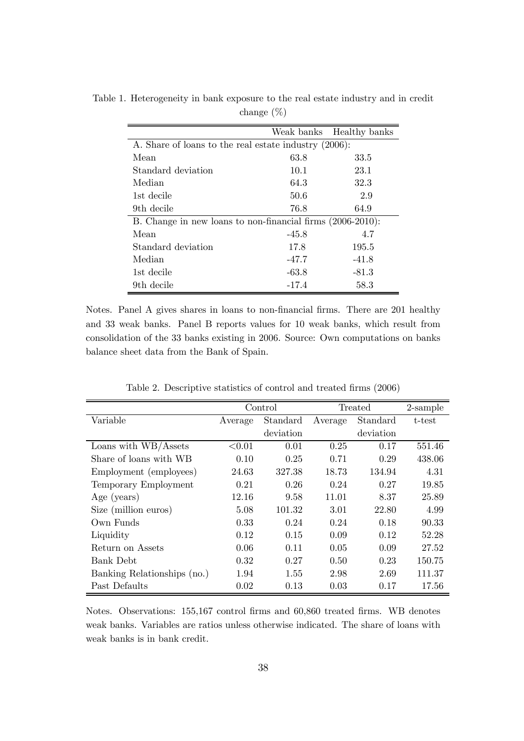|                                                            | Weak banks | Healthy banks |  |  |
|------------------------------------------------------------|------------|---------------|--|--|
| A. Share of loans to the real estate industry (2006):      |            |               |  |  |
| Mean                                                       | 63.8       | 33.5          |  |  |
| Standard deviation                                         | 10.1       | 23.1          |  |  |
| Median                                                     | 64.3       | 32.3          |  |  |
| 1st decile                                                 | 50.6       | 2.9           |  |  |
| 9th decile                                                 | 76.8       | 64.9          |  |  |
| B. Change in new loans to non-financial firms (2006-2010): |            |               |  |  |
| Mean                                                       | $-45.8$    | 4.7           |  |  |
| Standard deviation                                         | 17.8       | 195.5         |  |  |
| Median                                                     | $-47.7$    | $-41.8$       |  |  |
| 1st decile                                                 | $-63.8$    | $-81.3$       |  |  |
| 9th decile                                                 | $-17.4$    | 58.3          |  |  |

Table 1. Heterogeneity in bank exposure to the real estate industry and in credit change (%)

Notes. Panel A gives shares in loans to non-financial firms. There are 201 healthy and 33 weak banks. Panel B reports values for 10 weak banks, which result from consolidation of the 33 banks existing in 2006. Source: Own computations on banks balance sheet data from the Bank of Spain.

|                             | Control |           | Treated |           | 2-sample |
|-----------------------------|---------|-----------|---------|-----------|----------|
| Variable                    | Average | Standard  | Average | Standard  | t-test   |
|                             |         | deviation |         | deviation |          |
| Loans with WB/Assets        | < 0.01  | 0.01      | 0.25    | 0.17      | 551.46   |
| Share of loans with WB      | 0.10    | 0.25      | 0.71    | 0.29      | 438.06   |
| Employment (employees)      | 24.63   | 327.38    | 18.73   | 134.94    | 4.31     |
| Temporary Employment        | 0.21    | 0.26      | 0.24    | 0.27      | 19.85    |
| Age (years)                 | 12.16   | 9.58      | 11.01   | 8.37      | 25.89    |
| Size (million euros)        | 5.08    | 101.32    | 3.01    | 22.80     | 4.99     |
| Own Funds                   | 0.33    | 0.24      | 0.24    | 0.18      | 90.33    |
| Liquidity                   | 0.12    | 0.15      | 0.09    | 0.12      | 52.28    |
| Return on Assets            | 0.06    | 0.11      | 0.05    | 0.09      | 27.52    |
| <b>Bank Debt</b>            | 0.32    | 0.27      | 0.50    | 0.23      | 150.75   |
| Banking Relationships (no.) | 1.94    | 1.55      | 2.98    | 2.69      | 111.37   |
| Past Defaults               | 0.02    | 0.13      | 0.03    | 0.17      | 17.56    |

Table 2. Descriptive statistics of control and treated firms (2006)

Notes. Observations: 155,167 control firms and 60,860 treated firms. WB denotes weak banks. Variables are ratios unless otherwise indicated. The share of loans with weak banks is in bank credit.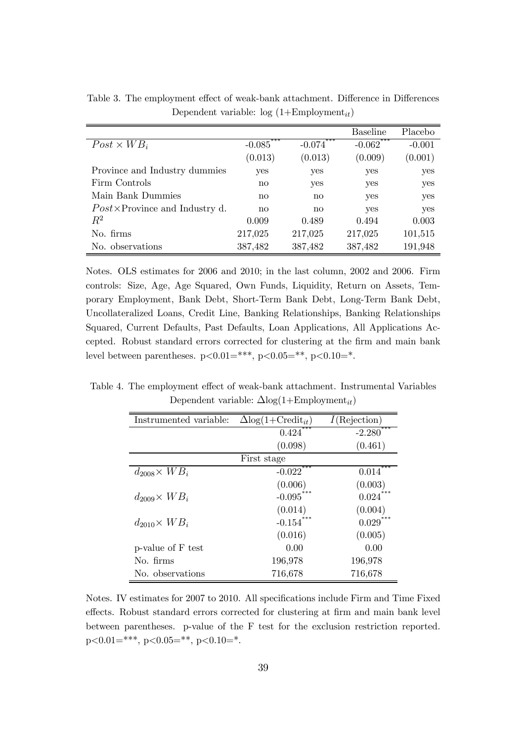|                                               |          |                       | <b>Baseline</b> | Placebo  |
|-----------------------------------------------|----------|-----------------------|-----------------|----------|
| $Post \times WB_i$                            | $-0.085$ | $-0.074$ <sup>*</sup> | $-0.062$        | $-0.001$ |
|                                               | (0.013)  | (0.013)               | (0.009)         | (0.001)  |
| Province and Industry dummies                 | yes      | yes                   | yes             | yes      |
| Firm Controls                                 | no       | yes                   | yes             | yes      |
| Main Bank Dummies                             | no       | $\mathbf{n}$          | yes             | yes      |
| $Post \times \text{Province}$ and Industry d. | no       | no                    | yes             | yes      |
| $R^2$                                         | 0.009    | 0.489                 | 0.494           | 0.003    |
| No. firms                                     | 217,025  | 217,025               | 217,025         | 101,515  |
| No. observations                              | 387,482  | 387,482               | 387,482         | 191,948  |

Table 3. The employment effect of weak-bank attachment. Difference in Differences Dependent variable:  $log(1+Employment_{it})$ 

Notes. OLS estimates for 2006 and 2010; in the last column, 2002 and 2006. Firm controls: Size, Age, Age Squared, Own Funds, Liquidity, Return on Assets, Temporary Employment, Bank Debt, Short-Term Bank Debt, Long-Term Bank Debt, Uncollateralized Loans, Credit Line, Banking Relationships, Banking Relationships Squared, Current Defaults, Past Defaults, Loan Applications, All Applications Accepted. Robust standard errors corrected for clustering at the firm and main bank level between parentheses.  $p<0.01=***$ ,  $p<0.05=**$ ,  $p<0.10=*$ .

Table 4. The employment effect of weak-bank attachment. Instrumental Variables Dependent variable:  $\Delta$ log(1+Employment<sub>it</sub>)

| Instrumented variable: | $\Delta$ log(1+Credit <sub>it</sub> ) | $I(\text{Rejection})$ |
|------------------------|---------------------------------------|-----------------------|
|                        | ***<br>0.424                          | ***<br>$-2.280$       |
|                        | (0.098)                               | (0.461)               |
|                        | First stage                           |                       |
| $d_{2008} \times WB_i$ | ***<br>$-0.022$                       | 0.014                 |
|                        | (0.006)                               | (0.003)               |
| $d_{2009} \times WB_i$ | $-0.095***$                           | 0.024                 |
|                        | (0.014)                               | (0.004)               |
| $d_{2010} \times WB_i$ | $-0.154***$                           | $0.029***$            |
|                        | (0.016)                               | (0.005)               |
| p-value of F test      | 0.00                                  | 0.00                  |
| No. firms              | 196,978                               | 196,978               |
| No. observations       | 716,678                               | 716,678               |

Notes. IV estimates for 2007 to 2010. All specifications include Firm and Time Fixed effects. Robust standard errors corrected for clustering at firm and main bank level between parentheses. p-value of the F test for the exclusion restriction reported.  $p<0.01=***$ ,  $p<0.05=**$ ,  $p<0.10=*$ .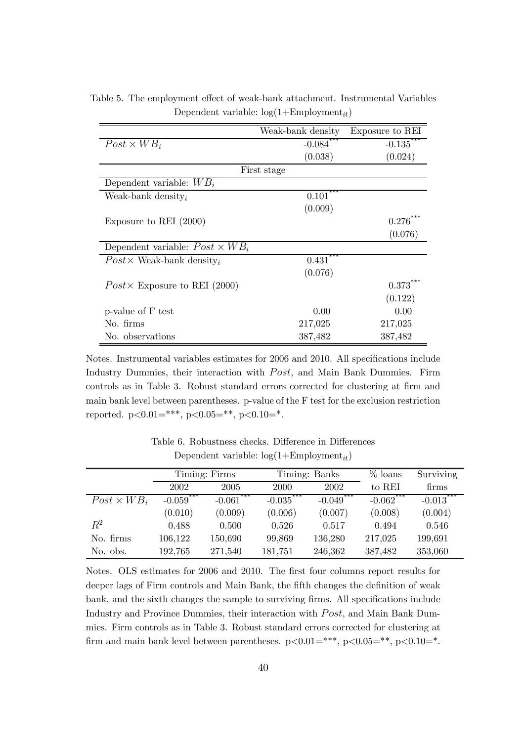|                                               | Weak-bank density     | Exposure to REI       |
|-----------------------------------------------|-----------------------|-----------------------|
| $Post \times WB_i$                            | $-0.084$ <sup>*</sup> | $-0.135$ <sup>*</sup> |
|                                               | (0.038)               | (0.024)               |
|                                               | First stage           |                       |
| Dependent variable: $WB_i$                    |                       |                       |
| Weak-bank density <sub>i</sub>                | 0.101                 |                       |
|                                               | (0.009)               |                       |
| Exposure to REI $(2000)$                      |                       | $0.276^{\degree}$     |
|                                               |                       | (0.076)               |
| Dependent variable: $Post \times WB_i$        |                       |                       |
| $Post \times Weak$ -bank density <sub>i</sub> | $0.431***$            |                       |
|                                               | (0.076)               |                       |
| Post $\times$ Exposure to REI (2000)          |                       | $0.373***$            |
|                                               |                       | (0.122)               |
| p-value of F test                             | 0.00                  | 0.00                  |
| No. firms                                     | 217,025               | 217,025               |
| No. observations                              | 387,482               | 387,482               |

Table 5. The employment effect of weak-bank attachment. Instrumental Variables Dependent variable:  $log(1+Employment_{it})$ 

Notes. Instrumental variables estimates for 2006 and 2010. All specifications include Industry Dummies, their interaction with *Post*, and Main Bank Dummies. Firm controls as in Table 3. Robust standard errors corrected for clustering at firm and main bank level between parentheses. p-value of the F test for the exclusion restriction reported.  $p<0.01=***$ ,  $p<0.05=**$ ,  $p<0.10=*$ .

|                    |                              | Timing: Firms                |             | Timing: Banks                | $%$ loans    | Surviving   |
|--------------------|------------------------------|------------------------------|-------------|------------------------------|--------------|-------------|
|                    | 2002                         | 2005                         | 2000        | 2002                         | to REI       | firms       |
| $Post \times WB_i$ | ***<br>$-0.059$ <sup>*</sup> | ***<br>$-0.061$ <sup>*</sup> | $-0.035***$ | ***<br>$-0.049$ <sup>*</sup> | $-0.062$ *** | $-0.013***$ |
|                    | (0.010)                      | (0.009)                      | (0.006)     | (0.007)                      | (0.008)      | (0.004)     |
| $\,R^2$            | 0.488                        | 0.500                        | 0.526       | 0.517                        | 0.494        | 0.546       |
| No. firms          | 106,122                      | 150,690                      | 99,869      | 136,280                      | 217,025      | 199,691     |
| No. obs.           | 192,765                      | 271,540                      | 181,751     | 246,362                      | 387,482      | 353,060     |

Table 6. Robustness checks. Difference in Differences Dependent variable:  $log(1+Employment_{it})$ 

Notes. OLS estimates for 2006 and 2010. The first four columns report results for deeper lags of Firm controls and Main Bank, the fifth changes the definition of weak bank, and the sixth changes the sample to surviving firms. All specifications include Industry and Province Dummies, their interaction with Post, and Main Bank Dummies. Firm controls as in Table 3. Robust standard errors corrected for clustering at firm and main bank level between parentheses.  $p<0.01=***$ ,  $p<0.05=**$ ,  $p<0.10=*$ .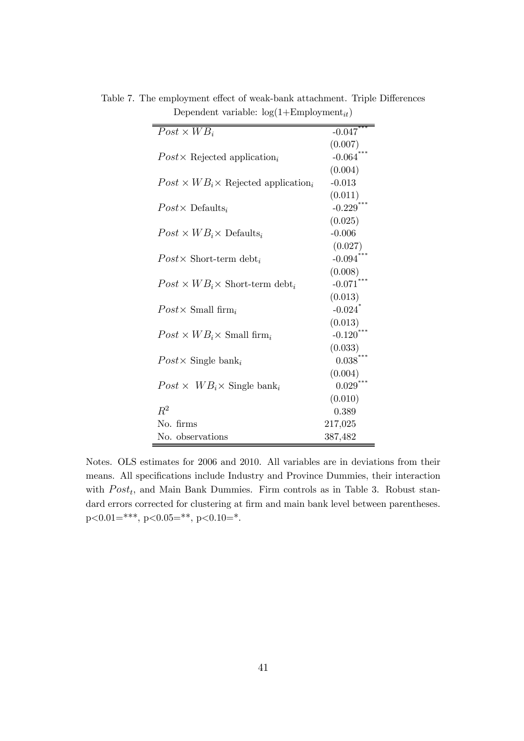| $Post \times WB_i$                                          | $-0.047$              |
|-------------------------------------------------------------|-----------------------|
|                                                             | (0.007)               |
| $Post \times$ Rejected application <sub>i</sub>             | $-0.064$              |
|                                                             | (0.004)               |
| $Post \times WB_i \times$ Rejected application <sub>i</sub> | $-0.013$              |
|                                                             | (0.011)               |
| $Post \times$ Defaults <sub>i</sub>                         | $-0.229$              |
|                                                             | (0.025)               |
| $Post \times WB_i \times \text{Defaults}_i$                 | $-0.006$              |
|                                                             | (0.027)               |
| $Post \times$ Short-term debt <sub>i</sub>                  | $-0.094$              |
|                                                             | (0.008)               |
| $Post \times WB_i \times$ Short-term debt <sub>i</sub>      | $-0.071$              |
|                                                             | (0.013)               |
| $Post \times$ Small firm                                    | $-0.024$ <sup>*</sup> |
|                                                             | (0.013)               |
| $Post \times WB_i \times Small$ firm                        | $-0.120$              |
|                                                             | (0.033)               |
| $Post \times$ Single bank <sub>i</sub>                      | 0.038                 |
|                                                             | (0.004)               |
| $Post \times WB_i \times$ Single bank <sub>i</sub>          | 0.029                 |
|                                                             | (0.010)               |
| $R^2$                                                       | 0.389                 |
| No. firms                                                   | 217,025               |
| No. observations                                            | 387,482               |

Table 7. The employment effect of weak-bank attachment. Triple Differences Dependent variable:  $log(1+Employment_{it})$ 

Notes. OLS estimates for 2006 and 2010. All variables are in deviations from their means. All specifications include Industry and Province Dummies, their interaction with  $Post<sub>t</sub>$ , and Main Bank Dummies. Firm controls as in Table 3. Robust standard errors corrected for clustering at firm and main bank level between parentheses. p<0.01=\*\*\*, p<0.05=\*\*, p<0.10=\*.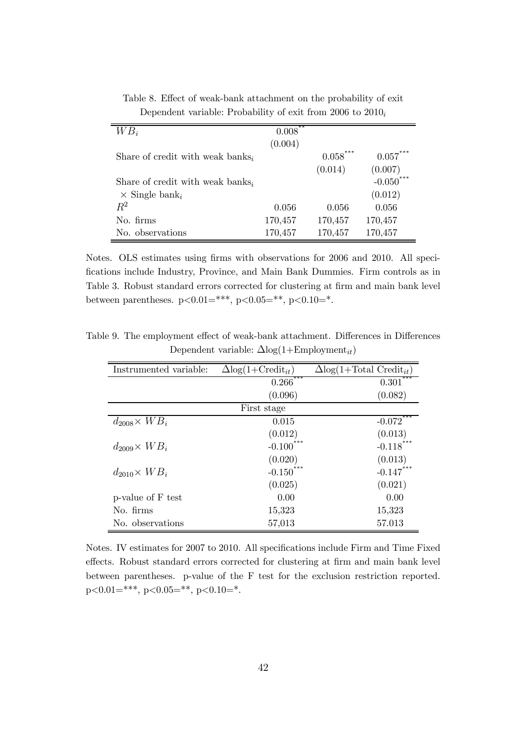| $WB_i$                                       | **<br>0.008 |            |             |
|----------------------------------------------|-------------|------------|-------------|
|                                              | (0.004)     |            |             |
| Share of credit with weak banks <sub>i</sub> |             | $0.058***$ | $0.057***$  |
|                                              |             | (0.014)    | (0.007)     |
| Share of credit with weak banks <sub>i</sub> |             |            | $-0.050***$ |
| $\times$ Single bank <sub>i</sub>            |             |            | (0.012)     |
| $R^2$                                        | 0.056       | 0.056      | 0.056       |
| No. firms                                    | 170,457     | 170,457    | 170,457     |
| No. observations                             | 170,457     | 170,457    | 170,457     |

Table 8. Effect of weak-bank attachment on the probability of exit Dependent variable: Probability of exit from 2006 to  $2010<sub>i</sub>$ 

Notes. OLS estimates using firms with observations for 2006 and 2010. All specifications include Industry, Province, and Main Bank Dummies. Firm controls as in Table 3. Robust standard errors corrected for clustering at firm and main bank level between parentheses.  $p<0.01=***$ ,  $p<0.05=**$ ,  $p<0.10=*$ .

Table 9. The employment effect of weak-bank attachment. Differences in Differences Dependent variable:  $\Delta$ log(1+Employment<sub>it</sub>)

| Instrumented variable: | $\Delta$ log(1+Credit <sub>it</sub> ) | $\Delta$ log(1+Total Credit <sub>it</sub> ) |
|------------------------|---------------------------------------|---------------------------------------------|
|                        | $0.266$ <sup>***</sup>                | 0.301                                       |
|                        | (0.096)                               | (0.082)                                     |
|                        | First stage                           |                                             |
| $d_{2008} \times WB_i$ | 0.015                                 | $-0.072$ <sup>*</sup>                       |
|                        | (0.012)                               | (0.013)                                     |
| $d_{2009} \times WB_i$ | $-0.100$                              | $-0.118$ <sup>*</sup>                       |
|                        | (0.020)                               | (0.013)                                     |
| $d_{2010} \times WB_i$ | $-0.150***$                           | $-0.147***$                                 |
|                        | (0.025)                               | (0.021)                                     |
| p-value of F test      | 0.00                                  | 0.00                                        |
| No. firms              | 15,323                                | 15,323                                      |
| No. observations       | 57,013                                | 57.013                                      |

Notes. IV estimates for 2007 to 2010. All specifications include Firm and Time Fixed effects. Robust standard errors corrected for clustering at firm and main bank level between parentheses. p-value of the F test for the exclusion restriction reported. p<0.01=\*\*\*, p<0.05=\*\*, p<0.10=\*.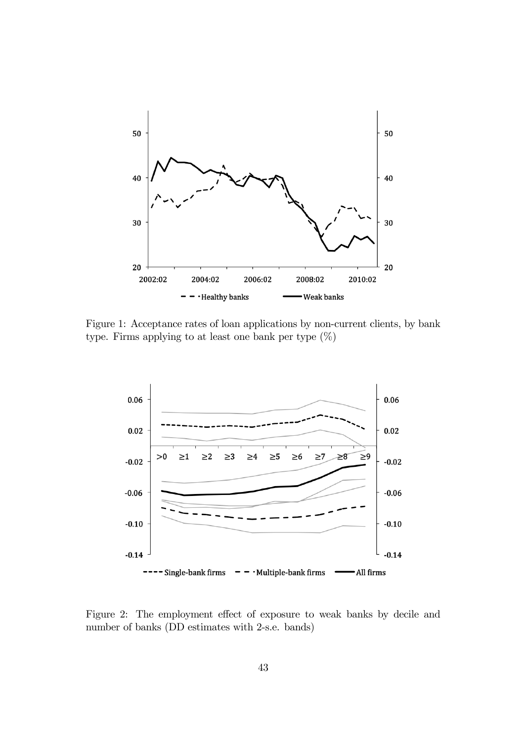

Figure 1: Acceptance rates of loan applications by non-current clients, by bank type. Firms applying to at least one bank per type  $(\%)$ 



Figure 2: The employment effect of exposure to weak banks by decile and number of banks (DD estimates with 2-s.e. bands)